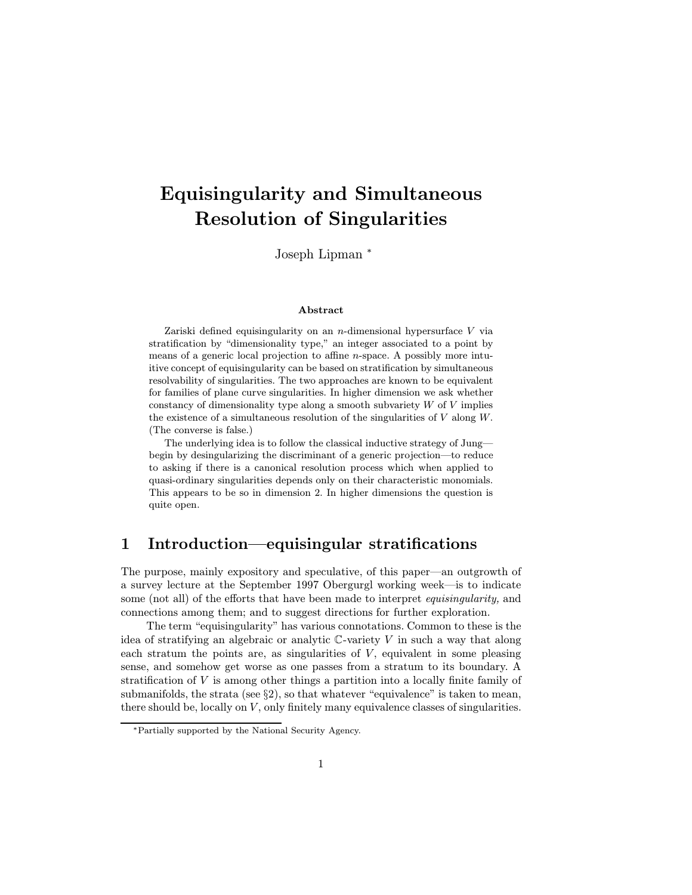# Equisingularity and Simultaneous Resolution of Singularities

Joseph Lipman <sup>∗</sup>

#### Abstract

Zariski defined equisingularity on an *n*-dimensional hypersurface  $V$  via stratification by "dimensionality type," an integer associated to a point by means of a generic local projection to affine n-space. A possibly more intuitive concept of equisingularity can be based on stratification by simultaneous resolvability of singularities. The two approaches are known to be equivalent for families of plane curve singularities. In higher dimension we ask whether constancy of dimensionality type along a smooth subvariety  $W$  of  $V$  implies the existence of a simultaneous resolution of the singularities of  $V$  along  $W$ . (The converse is false.)

The underlying idea is to follow the classical inductive strategy of Jung begin by desingularizing the discriminant of a generic projection—to reduce to asking if there is a canonical resolution process which when applied to quasi-ordinary singularities depends only on their characteristic monomials. This appears to be so in dimension 2. In higher dimensions the question is quite open.

### 1 Introduction—equisingular stratifications

The purpose, mainly expository and speculative, of this paper—an outgrowth of a survey lecture at the September 1997 Obergurgl working week—is to indicate some (not all) of the efforts that have been made to interpret *equisingularity*, and connections among them; and to suggest directions for further exploration.

The term "equisingularity" has various connotations. Common to these is the idea of stratifying an algebraic or analytic  $\mathbb C$ -variety V in such a way that along each stratum the points are, as singularities of  $V$ , equivalent in some pleasing sense, and somehow get worse as one passes from a stratum to its boundary. A stratification of V is among other things a partition into a locally finite family of submanifolds, the strata (see  $\S$ 2), so that whatever "equivalence" is taken to mean, there should be, locally on  $V$ , only finitely many equivalence classes of singularities.

<sup>∗</sup>Partially supported by the National Security Agency.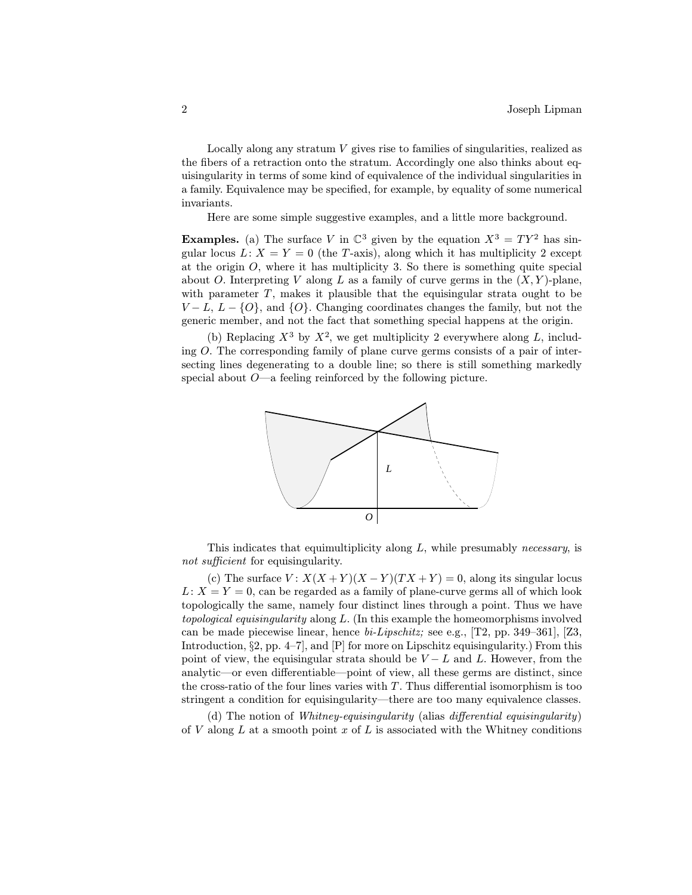Locally along any stratum V gives rise to families of singularities, realized as the fibers of a retraction onto the stratum. Accordingly one also thinks about equisingularity in terms of some kind of equivalence of the individual singularities in a family. Equivalence may be specified, for example, by equality of some numerical invariants.

Here are some simple suggestive examples, and a little more background.

**Examples.** (a) The surface V in  $\mathbb{C}^3$  given by the equation  $X^3 = TY^2$  has singular locus  $L: X = Y = 0$  (the T-axis), along which it has multiplicity 2 except at the origin  $O$ , where it has multiplicity 3. So there is something quite special about O. Interpreting V along L as a family of curve germs in the  $(X, Y)$ -plane, with parameter  $T$ , makes it plausible that the equisingular strata ought to be  $V - L$ ,  $L - \{O\}$ , and  $\{O\}$ . Changing coordinates changes the family, but not the generic member, and not the fact that something special happens at the origin.

(b) Replacing  $X^3$  by  $X^2$ , we get multiplicity 2 everywhere along L, including O. The corresponding family of plane curve germs consists of a pair of intersecting lines degenerating to a double line; so there is still something markedly special about  $O$ —a feeling reinforced by the following picture.



This indicates that equimultiplicity along L, while presumably necessary, is not sufficient for equisingularity.

(c) The surface  $V: X(X+Y)(X-Y)(TX+Y) = 0$ , along its singular locus  $L: X = Y = 0$ , can be regarded as a family of plane-curve germs all of which look topologically the same, namely four distinct lines through a point. Thus we have topological equisingularity along L. (In this example the homeomorphisms involved can be made piecewise linear, hence  $bi\text{-}Lipschitz$ ; see e.g., [T2, pp. 349–361], [Z3, Introduction, §2, pp. 4–7], and [P] for more on Lipschitz equisingularity.) From this point of view, the equisingular strata should be  $V - L$  and L. However, from the analytic—or even differentiable—point of view, all these germs are distinct, since the cross-ratio of the four lines varies with  $T$ . Thus differential isomorphism is too stringent a condition for equisingularity—there are too many equivalence classes.

(d) The notion of Whitney-equisingularity (alias differential equisingularity) of V along L at a smooth point x of L is associated with the Whitney conditions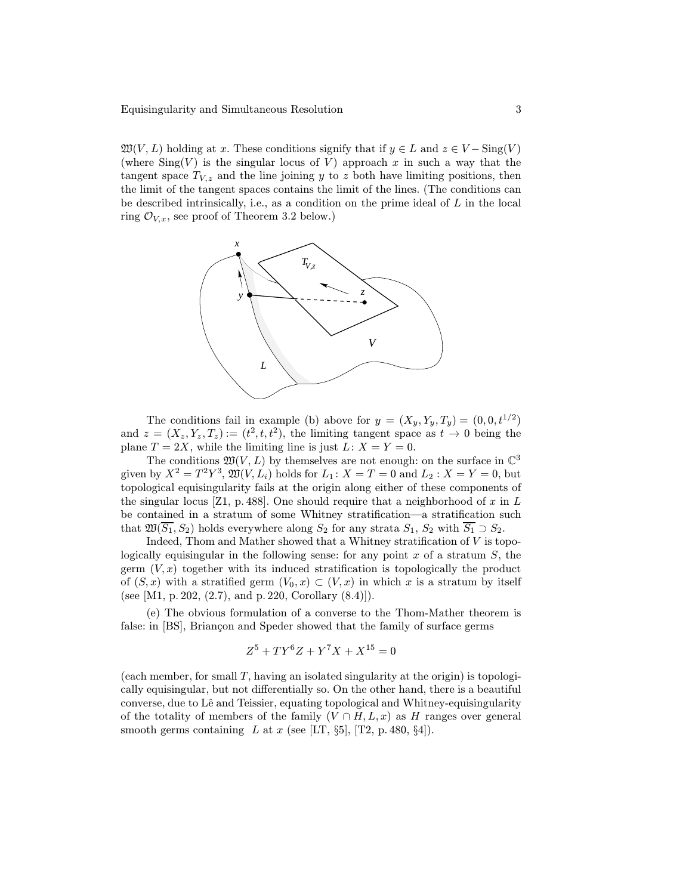$\mathfrak{W}(V,L)$  holding at x. These conditions signify that if  $y \in L$  and  $z \in V - \text{Sing}(V)$ (where  $\text{Sing}(V)$  is the singular locus of V) approach x in such a way that the tangent space  $T_{V,z}$  and the line joining y to z both have limiting positions, then the limit of the tangent spaces contains the limit of the lines. (The conditions can be described intrinsically, i.e., as a condition on the prime ideal of  $L$  in the local ring  $\mathcal{O}_{V,x}$ , see proof of Theorem 3.2 below.)



The conditions fail in example (b) above for  $y = (X_y, Y_y, T_y) = (0, 0, t^{1/2})$ and  $z = (X_z, Y_z, T_z) := (t^2, t, t^2)$ , the limiting tangent space as  $t \to 0$  being the plane  $T = 2X$ , while the limiting line is just  $L: X = Y = 0$ .

The conditions  $\mathfrak{W}(V,L)$  by themselves are not enough: on the surface in  $\mathbb{C}^3$ given by  $X^2 = T^2 Y^3$ ,  $\mathfrak{W}(V, L_i)$  holds for  $L_1: X = T = 0$  and  $L_2: X = Y = 0$ , but topological equisingularity fails at the origin along either of these components of the singular locus [Z1, p. 488]. One should require that a neighborhood of x in L be contained in a stratum of some Whitney stratification—a stratification such that  $\mathfrak{W}(\overline{S_1}, S_2)$  holds everywhere along  $S_2$  for any strata  $S_1, S_2$  with  $\overline{S_1} \supset S_2$ .

Indeed, Thom and Mather showed that a Whitney stratification of  $V$  is topologically equisingular in the following sense: for any point x of a stratum  $S$ , the germ  $(V, x)$  together with its induced stratification is topologically the product of  $(S, x)$  with a stratified germ  $(V_0, x) \subset (V, x)$  in which x is a stratum by itself (see [M1, p. 202, (2.7), and p. 220, Corollary (8.4)]).

(e) The obvious formulation of a converse to the Thom-Mather theorem is false: in [BS], Briancon and Speder showed that the family of surface germs

$$
Z^5 + TY^6 Z + Y^7 X + X^{15} = 0
$$

(each member, for small  $T$ , having an isolated singularity at the origin) is topologically equisingular, but not differentially so. On the other hand, there is a beautiful converse, due to Lê and Teissier, equating topological and Whitney-equisingularity of the totality of members of the family  $(V \cap H, L, x)$  as H ranges over general smooth germs containing L at x (see [LT,  $\S5$ ], [T2, p. 480,  $\S4$ ]).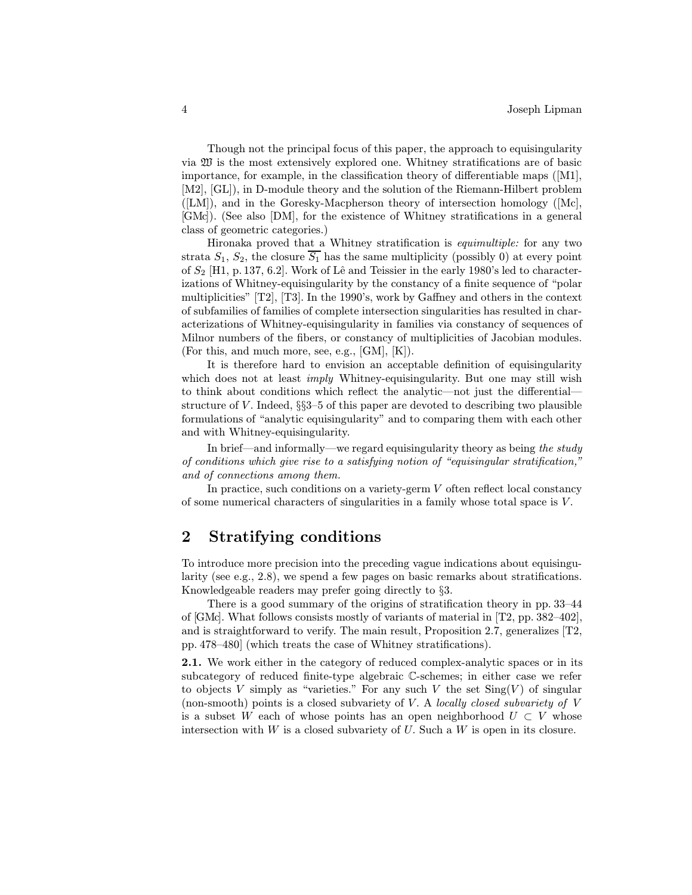Though not the principal focus of this paper, the approach to equisingularity via  $\mathfrak W$  is the most extensively explored one. Whitney stratifications are of basic importance, for example, in the classification theory of differentiable maps ([M1], [M2], [GL]), in D-module theory and the solution of the Riemann-Hilbert problem  $([LM])$ , and in the Goresky-Macpherson theory of intersection homology  $([Mc],$ [GMc]). (See also [DM], for the existence of Whitney stratifications in a general class of geometric categories.)

Hironaka proved that a Whitney stratification is equimultiple: for any two strata  $S_1$ ,  $S_2$ , the closure  $\overline{S_1}$  has the same multiplicity (possibly 0) at every point of  $S_2$  [H1, p. 137, 6.2]. Work of Lê and Teissier in the early 1980's led to characterizations of Whitney-equisingularity by the constancy of a finite sequence of "polar multiplicities" [T2], [T3]. In the 1990's, work by Gaffney and others in the context of subfamilies of families of complete intersection singularities has resulted in characterizations of Whitney-equisingularity in families via constancy of sequences of Milnor numbers of the fibers, or constancy of multiplicities of Jacobian modules. (For this, and much more, see, e.g., [GM], [K]).

It is therefore hard to envision an acceptable definition of equisingularity which does not at least *imply* Whitney-equisingularity. But one may still wish to think about conditions which reflect the analytic—not just the differential structure of  $V$ . Indeed,  $\S$ §3–5 of this paper are devoted to describing two plausible formulations of "analytic equisingularity" and to comparing them with each other and with Whitney-equisingularity.

In brief—and informally—we regard equisingularity theory as being the study of conditions which give rise to a satisfying notion of "equisingular stratification," and of connections among them.

In practice, such conditions on a variety-germ V often reflect local constancy of some numerical characters of singularities in a family whose total space is V .

## 2 Stratifying conditions

To introduce more precision into the preceding vague indications about equisingularity (see e.g., 2.8), we spend a few pages on basic remarks about stratifications. Knowledgeable readers may prefer going directly to §3.

There is a good summary of the origins of stratification theory in pp. 33–44 of [GMc]. What follows consists mostly of variants of material in [T2, pp. 382–402], and is straightforward to verify. The main result, Proposition 2.7, generalizes  $[T2]$ , pp. 478–480] (which treats the case of Whitney stratifications).

2.1. We work either in the category of reduced complex-analytic spaces or in its subcategory of reduced finite-type algebraic C-schemes; in either case we refer to objects V simply as "varieties." For any such V the set  $Sing(V)$  of singular (non-smooth) points is a closed subvariety of  $V$ . A *locally closed subvariety of*  $V$ is a subset W each of whose points has an open neighborhood  $U \subset V$  whose intersection with  $W$  is a closed subvariety of  $U$ . Such a  $W$  is open in its closure.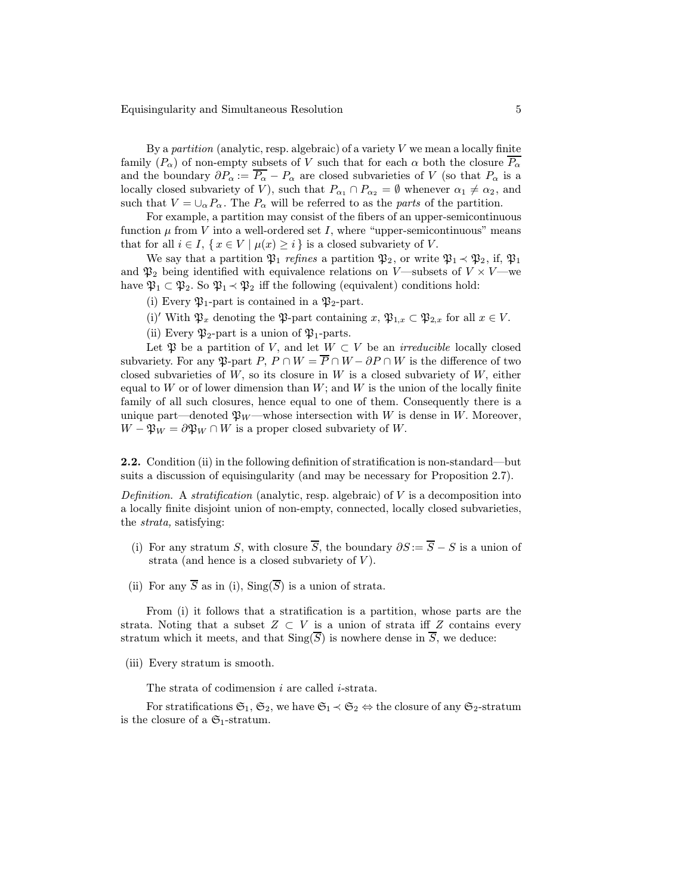Equisingularity and Simultaneous Resolution 5

By a partition (analytic, resp. algebraic) of a variety  $V$  we mean a locally finite family  $(P_\alpha)$  of non-empty subsets of V such that for each  $\alpha$  both the closure  $\overline{P_\alpha}$ and the boundary  $\partial P_{\alpha} := \overline{P_{\alpha}} - P_{\alpha}$  are closed subvarieties of V (so that  $P_{\alpha}$  is a locally closed subvariety of V), such that  $P_{\alpha_1} \cap P_{\alpha_2} = \emptyset$  whenever  $\alpha_1 \neq \alpha_2$ , and such that  $V = \bigcup_{\alpha} P_{\alpha}$ . The  $P_{\alpha}$  will be referred to as the parts of the partition.

For example, a partition may consist of the fibers of an upper-semicontinuous function  $\mu$  from V into a well-ordered set I, where "upper-semicontinuous" means that for all  $i \in I$ ,  $\{x \in V \mid \mu(x) \geq i\}$  is a closed subvariety of V.

We say that a partition  $\mathfrak{P}_1$  refines a partition  $\mathfrak{P}_2$ , or write  $\mathfrak{P}_1 \prec \mathfrak{P}_2$ , if,  $\mathfrak{P}_1$ and  $\mathfrak{P}_2$  being identified with equivalence relations on V—subsets of  $V \times V$ —we have  $\mathfrak{P}_1 \subset \mathfrak{P}_2$ . So  $\mathfrak{P}_1 \prec \mathfrak{P}_2$  iff the following (equivalent) conditions hold:

(i) Every  $\mathfrak{P}_1$ -part is contained in a  $\mathfrak{P}_2$ -part.

(i)' With  $\mathfrak{P}_x$  denoting the  $\mathfrak{P}_z$ -part containing  $x, \mathfrak{P}_{1,x} \subset \mathfrak{P}_{2,x}$  for all  $x \in V$ .

(ii) Every  $\mathfrak{P}_2$ -part is a union of  $\mathfrak{P}_1$ -parts.

Let  $\mathfrak P$  be a partition of V, and let  $W \subset V$  be an *irreducible* locally closed subvariety. For any  $\mathfrak{P}\text{-part }P, P \cap W = \overline{P} \cap W - \partial P \cap W$  is the difference of two closed subvarieties of  $W$ , so its closure in  $W$  is a closed subvariety of  $W$ , either equal to W or of lower dimension than  $W$ ; and W is the union of the locally finite family of all such closures, hence equal to one of them. Consequently there is a unique part—denoted  $\mathfrak{P}_W$ —whose intersection with W is dense in W. Moreover,  $W - \mathfrak{P}_W = \partial \mathfrak{P}_W \cap W$  is a proper closed subvariety of W.

2.2. Condition (ii) in the following definition of stratification is non-standard—but suits a discussion of equisingularity (and may be necessary for Proposition 2.7).

Definition. A stratification (analytic, resp. algebraic) of  $V$  is a decomposition into a locally finite disjoint union of non-empty, connected, locally closed subvarieties, the strata, satisfying:

- (i) For any stratum S, with closure  $\overline{S}$ , the boundary  $\partial S := \overline{S} S$  is a union of strata (and hence is a closed subvariety of  $V$ ).
- (ii) For any  $\overline{S}$  as in (i),  $\text{Sing}(\overline{S})$  is a union of strata.

From (i) it follows that a stratification is a partition, whose parts are the strata. Noting that a subset  $Z \subset V$  is a union of strata iff Z contains every stratum which it meets, and that  $\text{Sing}(\overline{S})$  is nowhere dense in  $\overline{S}$ , we deduce:

(iii) Every stratum is smooth.

The strata of codimension *i* are called *i*-strata.

For stratifications  $\mathfrak{S}_1, \mathfrak{S}_2$ , we have  $\mathfrak{S}_1 \prec \mathfrak{S}_2 \Leftrightarrow$  the closure of any  $\mathfrak{S}_2$ -stratum is the closure of a  $\mathfrak{S}_1$ -stratum.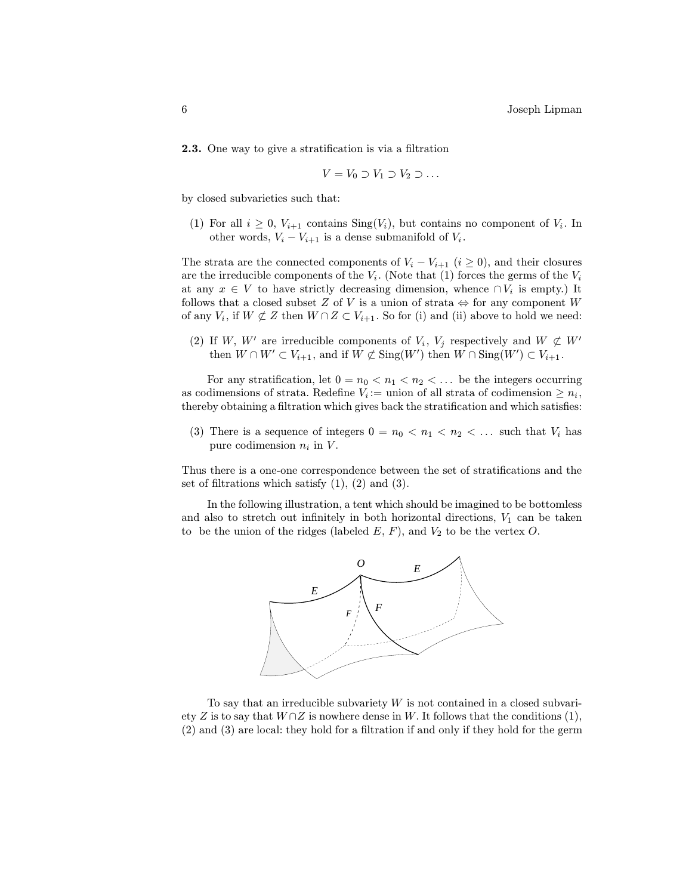2.3. One way to give a stratification is via a filtration

$$
V = V_0 \supset V_1 \supset V_2 \supset \dots
$$

by closed subvarieties such that:

(1) For all  $i \geq 0$ ,  $V_{i+1}$  contains  $\text{Sing}(V_i)$ , but contains no component of  $V_i$ . In other words,  $V_i - V_{i+1}$  is a dense submanifold of  $V_i$ .

The strata are the connected components of  $V_i - V_{i+1}$  ( $i \ge 0$ ), and their closures are the irreducible components of the  $V_i$ . (Note that (1) forces the germs of the  $V_i$ at any  $x \in V$  to have strictly decreasing dimension, whence  $\cap V_i$  is empty.) It follows that a closed subset Z of V is a union of strata  $\Leftrightarrow$  for any component W of any  $V_i$ , if  $W \not\subset Z$  then  $W \cap Z \subset V_{i+1}$ . So for (i) and (ii) above to hold we need:

(2) If W, W' are irreducible components of  $V_i$ ,  $V_j$  respectively and  $W \not\subset W'$ then  $W \cap W' \subset V_{i+1}$ , and if  $W \not\subset \text{Sing}(W')$  then  $W \cap \text{Sing}(W') \subset V_{i+1}$ .

For any stratification, let  $0 = n_0 < n_1 < n_2 < \dots$  be the integers occurring as codimensions of strata. Redefine  $V_i :=$  union of all strata of codimension  $\geq n_i$ , thereby obtaining a filtration which gives back the stratification and which satisfies:

(3) There is a sequence of integers  $0 = n_0 < n_1 < n_2 < \dots$  such that  $V_i$  has pure codimension  $n_i$  in  $V$ .

Thus there is a one-one correspondence between the set of stratifications and the set of filtrations which satisfy  $(1)$ ,  $(2)$  and  $(3)$ .

In the following illustration, a tent which should be imagined to be bottomless and also to stretch out infinitely in both horizontal directions,  $V_1$  can be taken to be the union of the ridges (labeled  $E, F$ ), and  $V_2$  to be the vertex  $O$ .



To say that an irreducible subvariety  $W$  is not contained in a closed subvariety Z is to say that  $W \cap Z$  is nowhere dense in W. It follows that the conditions (1), (2) and (3) are local: they hold for a filtration if and only if they hold for the germ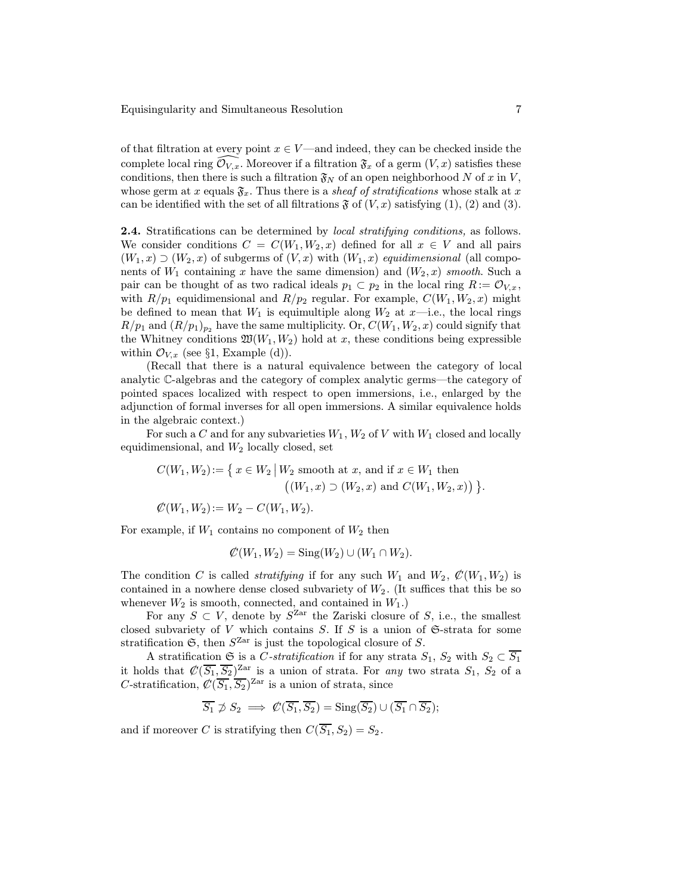of that filtration at every point  $x \in V$ —and indeed, they can be checked inside the complete local ring  $\mathcal{O}_{V,x}$ . Moreover if a filtration  $\mathfrak{F}_x$  of a germ  $(V,x)$  satisfies these conditions, then there is such a filtration  $\mathfrak{F}_N$  of an open neighborhood N of x in V, whose germ at x equals  $\mathfrak{F}_x$ . Thus there is a *sheaf of stratifications* whose stalk at x can be identified with the set of all filtrations  $\mathfrak F$  of  $(V, x)$  satisfying (1), (2) and (3).

**2.4.** Stratifications can be determined by *local stratifying conditions*, as follows. We consider conditions  $C = C(W_1, W_2, x)$  defined for all  $x \in V$  and all pairs  $(W_1, x) \supset (W_2, x)$  of subgerms of  $(V, x)$  with  $(W_1, x)$  equidimensional (all components of  $W_1$  containing x have the same dimension) and  $(W_2, x)$  smooth. Such a pair can be thought of as two radical ideals  $p_1 \,\subset p_2$  in the local ring  $R := \mathcal{O}_{V,x}$ , with  $R/p_1$  equidimensional and  $R/p_2$  regular. For example,  $C(W_1, W_2, x)$  might be defined to mean that  $W_1$  is equimultiple along  $W_2$  at  $x$ —i.e., the local rings  $R/p_1$  and  $(R/p_1)_{p_2}$  have the same multiplicity. Or,  $C(W_1, W_2, x)$  could signify that the Whitney conditions  $\mathfrak{W}(W_1, W_2)$  hold at x, these conditions being expressible within  $\mathcal{O}_{V,x}$  (see §1, Example (d)).

(Recall that there is a natural equivalence between the category of local analytic C-algebras and the category of complex analytic germs—the category of pointed spaces localized with respect to open immersions, i.e., enlarged by the adjunction of formal inverses for all open immersions. A similar equivalence holds in the algebraic context.)

For such a C and for any subvarieties  $W_1, W_2$  of V with  $W_1$  closed and locally equidimensional, and  $W_2$  locally closed, set

$$
C(W_1, W_2) := \{ x \in W_2 \mid W_2 \text{ smooth at } x, \text{ and if } x \in W_1 \text{ then } ((W_1, x) \supset (W_2, x) \text{ and } C(W_1, W_2, x)) \}.
$$

 $\mathcal{C}(W_1, W_2) := W_2 - C(W_1, W_2).$ 

6

For example, if  $W_1$  contains no component of  $W_2$  then

$$
\mathcal{C}(W_1, W_2) = \operatorname{Sing}(W_2) \cup (W_1 \cap W_2).
$$

The condition C is called *stratifying* if for any such  $W_1$  and  $W_2$ ,  $\mathcal{C}(W_1, W_2)$  is contained in a nowhere dense closed subvariety of  $W_2$ . (It suffices that this be so whenever  $W_2$  is smooth, connected, and contained in  $W_1$ .)

For any  $S \subset V$ , denote by  $S^{Zar}$  the Zariski closure of S, i.e., the smallest closed subvariety of V which contains  $S$ . If S is a union of  $\mathfrak{S}\text{-strata}$  for some stratification  $\mathfrak{S}$ , then  $S^{Zar}$  is just the topological closure of S.

A stratification G is a C-stratification if for any strata  $S_1$ ,  $S_2$  with  $S_2 \subset \overline{S_1}$ it holds that  $\mathcal{C}(\overline{S_1}, \overline{S_2})^{\text{Zar}}$  is a union of strata. For any two strata  $S_1, S_2$  of a C-stratification,  $\mathcal{C}(\overline{S_1}, \overline{S_2})^{\text{Zar}}$  is a union of strata, since

$$
\overline{S_1} \not\supset S_2 \implies \mathcal{C}(\overline{S_1}, \overline{S_2}) = \text{Sing}(\overline{S_2}) \cup (\overline{S_1} \cap \overline{S_2});
$$

and if moreover C is stratifying then  $C(\overline{S_1}, S_2) = S_2$ .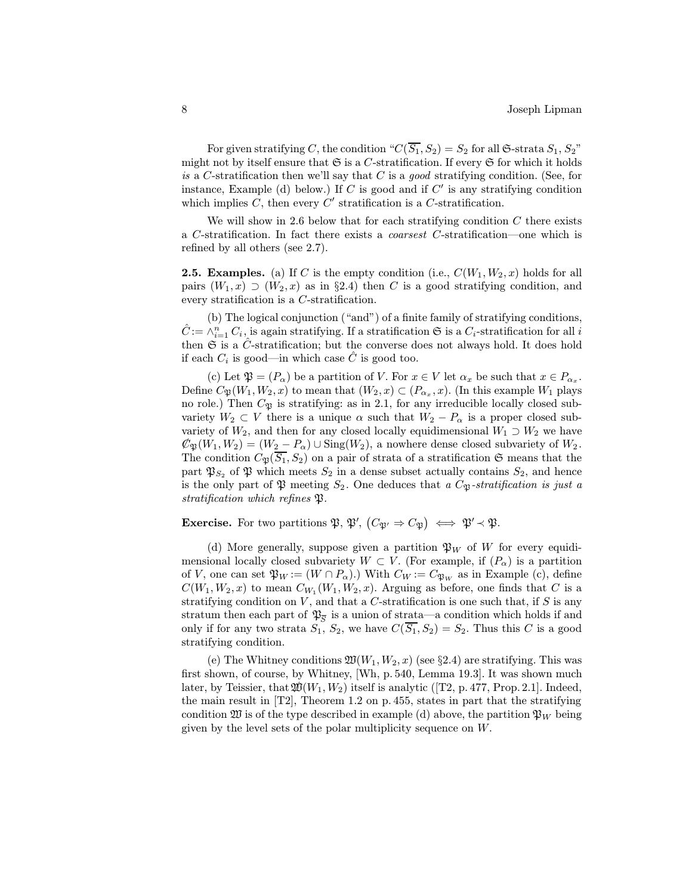For given stratifying C, the condition " $C(\overline{S_1}, S_2) = S_2$  for all G-strata  $S_1, S_2$ " might not by itself ensure that  $\mathfrak S$  is a C-stratification. If every  $\mathfrak S$  for which it holds is a C-stratification then we'll say that C is a good stratifying condition. (See, for instance, Example (d) below.) If C is good and if  $C'$  is any stratifying condition which implies C, then every  $C'$  stratification is a C-stratification.

We will show in 2.6 below that for each stratifying condition  $C$  there exists a C-stratification. In fact there exists a coarsest C-stratification—one which is refined by all others (see 2.7).

**2.5. Examples.** (a) If C is the empty condition (i.e.,  $C(W_1, W_2, x)$  holds for all pairs  $(W_1, x) \supset (W_2, x)$  as in §2.4) then C is a good stratifying condition, and every stratification is a C-stratification.

(b) The logical conjunction ("and") of a finite family of stratifying conditions,  $\hat{C} := \wedge_{i=1}^n C_i$ , is again stratifying. If a stratification  $\mathfrak{S}$  is a  $C_i$ -stratification for all i then  $\mathfrak S$  is a  $\hat C$ -stratification; but the converse does not always hold. It does hold if each  $C_i$  is good—in which case  $\hat{C}$  is good too.

(c) Let  $\mathfrak{P} = (P_{\alpha})$  be a partition of V. For  $x \in V$  let  $\alpha_x$  be such that  $x \in P_{\alpha_x}$ . Define  $C_{\mathfrak{P}}(W_1, W_2, x)$  to mean that  $(W_2, x) \subset (P_{\alpha_x}, x)$ . (In this example  $W_1$  plays no role.) Then  $C_{\mathfrak{P}}$  is stratifying: as in 2.1, for any irreducible locally closed subvariety  $W_2 \subset V$  there is a unique  $\alpha$  such that  $W_2 - P_\alpha$  is a proper closed subvariety of  $W_2$ , and then for any closed locally equidimensional  $W_1 \supset W_2$  we have 6  $\mathcal{C}_{\mathfrak{B}}(W_1, W_2)=(W_2 - P_\alpha) \cup \text{Sing}(W_2)$ , a nowhere dense closed subvariety of  $W_2$ . The condition  $C_{\mathfrak{P}}(\overline{S_1}, S_2)$  on a pair of strata of a stratification  $\mathfrak S$  means that the part  $\mathfrak{P}_{S_2}$  of  $\mathfrak P$  which meets  $S_2$  in a dense subset actually contains  $S_2$ , and hence is the only part of  $\mathfrak P$  meeting  $S_2$ . One deduces that a  $C_{\mathfrak P}$ -stratification is just a stratification which refines  $\mathfrak{P}.$ 

**Exercise.** For two partitions  $\mathfrak{P}, \mathfrak{P}', (C_{\mathfrak{P}'} \Rightarrow C_{\mathfrak{P}}) \iff \mathfrak{P}' \prec \mathfrak{P}.$ 

(d) More generally, suppose given a partition  $\mathfrak{P}_W$  of W for every equidimensional locally closed subvariety  $W \subset V$ . (For example, if  $(P_\alpha)$ ) is a partition of V, one can set  $\mathfrak{P}_W := (W \cap P_\alpha)$ .) With  $C_W := C_{\mathfrak{P}_W}$  as in Example (c), define  $C(W_1, W_2, x)$  to mean  $C_{W_1}(W_1, W_2, x)$ . Arguing as before, one finds that C is a stratifying condition on  $V$ , and that a  $C$ -stratification is one such that, if  $S$  is any stratum then each part of  $\mathfrak{P}_{\overline{S}}$  is a union of strata—a condition which holds if and only if for any two strata  $S_1$ ,  $S_2$ , we have  $C(\overline{S_1}, S_2) = S_2$ . Thus this C is a good stratifying condition.

(e) The Whitney conditions  $\mathfrak{W}(W_1, W_2, x)$  (see §2.4) are stratifying. This was first shown, of course, by Whitney, [Wh, p. 540, Lemma 19.3]. It was shown much later, by Teissier, that  $\mathfrak{W}(W_1, W_2)$  itself is analytic ([T2, p. 477, Prop. 2.1]. Indeed, the main result in  $[T2]$ , Theorem 1.2 on p. 455, states in part that the stratifying condition  $\mathfrak W$  is of the type described in example (d) above, the partition  $\mathfrak P_W$  being given by the level sets of the polar multiplicity sequence on W.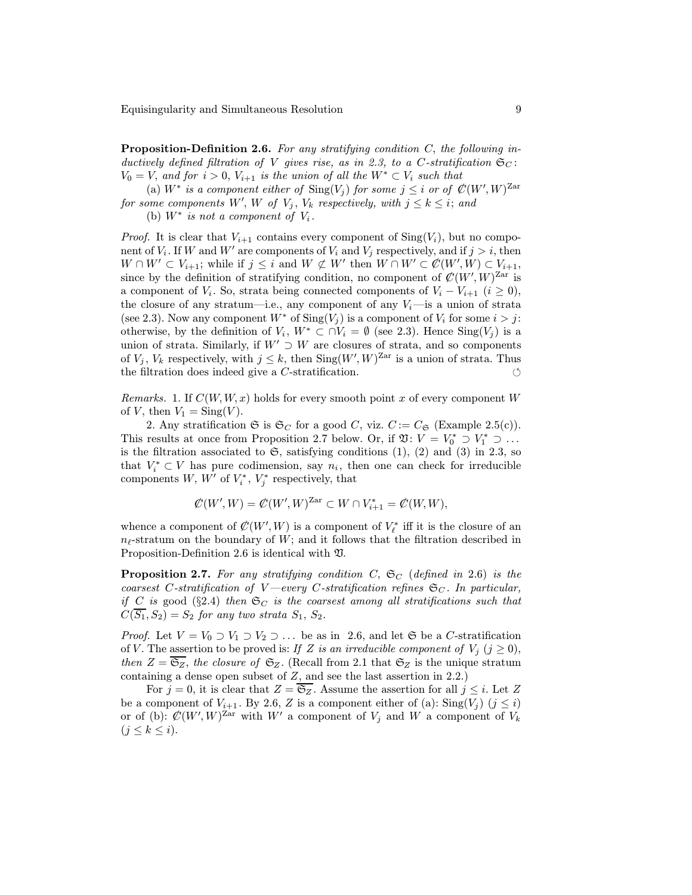Proposition-Definition 2.6. For any stratifying condition C, the following inductively defined filtration of V gives rise, as in 2.3, to a C-stratification  $\mathfrak{S}_{C}$ :  $V_0 = V$ , and for  $i > 0$ ,  $V_{i+1}$  is the union of all the  $W^* \subset V_i$  such that

(a)  $W^*$  is a component either of  $\text{Sing}(V_j)$  for some  $j \leq i$  or of  $\mathcal{C}(W', W)^{\text{Zar}}$ for some components  $W', W$  of  $V_j, V_k$  respectively, with  $j \leq k \leq i$ ; and

(b)  $W^*$  is not a component of  $V_i$ .

*Proof.* It is clear that  $V_{i+1}$  contains every component of  $\text{Sing}(V_i)$ , but no component of  $V_i$ . If W and W' are components of  $V_i$  and  $V_j$  respectively, and if  $j>i$ , then  $W \cap W' \subset V_{i+1}$ ; while if  $j \leq i$  and  $W \not\subset W'$  then  $W \cap W' \subset \mathcal{C}(W', W) \subset V_{i+1}$ , since by the definition of stratifying condition, no component of  $\mathcal{C}(W', W)^{\mathrm{Zar}}$  is a component of  $V_i$ . So, strata being connected components of  $V_i - V_{i+1}$   $(i \geq 0)$ , the closure of any stratum—i.e., any component of any  $V_i$ —is a union of strata (see 2.3). Now any component  $W^*$  of  $\text{Sing}(V_i)$  is a component of  $V_i$  for some  $i>j$ : otherwise, by the definition of  $V_i$ ,  $W^* \subset \bigcap V_i = \emptyset$  (see 2.3). Hence  $\text{Sing}(V_j)$  is a union of strata. Similarly, if  $W' \supset W$  are closures of strata, and so components of  $V_j$ ,  $V_k$  respectively, with  $j \leq k$ , then  $\text{Sing}(W', W)^{\text{Zar}}$  is a union of strata. Thus the filtration does indeed give a *C*-stratification.  $\circlearrowleft$ 

Remarks. 1. If  $C(W, W, x)$  holds for every smooth point x of every component W of V, then  $V_1 = Sing(V)$ .

2. Any stratification  $\mathfrak{S}$  is  $\mathfrak{S}_C$  for a good C, viz.  $C := C_{\mathfrak{S}}$  (Example 2.5(c)). This results at once from Proposition 2.7 below. Or, if  $\mathfrak{V}: V = V_0^* \supset V_1^* \supset \dots$ is the filtration associated to  $\mathfrak{S}$ , satisfying conditions (1), (2) and (3) in 2.3, so that  $V_i^* \subset V$  has pure codimension, say  $n_i$ , then one can check for irreducible components  $W, W'$  of  $V_i^*, V_j^*$  respectively, that

$$
\mathcal{C}(W',W) = \mathcal{C}(W',W)^{\text{Zar}} \subset W \cap V_{i+1}^* = \mathcal{C}(W,W),
$$

whence a component of  $\mathcal{C}(W', W)$  is a component of  $V_{\ell}^*$  iff it is the closure of an  $n_{\ell}$ -stratum on the boundary of W; and it follows that the filtration described in Proposition-Definition 2.6 is identical with V.

**Proposition 2.7.** For any stratifying condition C,  $\mathfrak{S}_{C}$  (defined in 2.6) is the coarsest C-stratification of V —every C-stratification refines  $\mathfrak{S}_{C}$ . In particular, if C is good (§2.4) then  $\mathfrak{S}_C$  is the coarsest among all stratifications such that  $C(S_1, S_2) = S_2$  for any two strata  $S_1, S_2$ .

*Proof.* Let  $V = V_0 \supset V_1 \supset V_2 \supset \ldots$  be as in 2.6, and let  $\mathfrak{S}$  be a C-stratification of V. The assertion to be proved is: If Z is an irreducible component of  $V_i$   $(j \geq 0)$ , then  $Z = \overline{\mathfrak{S}_Z}$ , the closure of  $\mathfrak{S}_Z$ . (Recall from 2.1 that  $\mathfrak{S}_Z$  is the unique stratum containing a dense open subset of Z, and see the last assertion in 2.2.)

For  $j = 0$ , it is clear that  $Z = \overline{\mathfrak{S}_Z}$ . Assume the assertion for all  $j \leq i$ . Let Z be a component of  $V_{i+1}$ . By 2.6, Z is a component either of (a):  $\text{Sing}(V_i)$   $(j \leq i)$ or of (b):  $\mathcal{C}(W', W)^{\text{Zar}}$  with  $W'$  a component of  $V_j$  and  $W$  a component of  $V_k$  $(j \leq k \leq i).$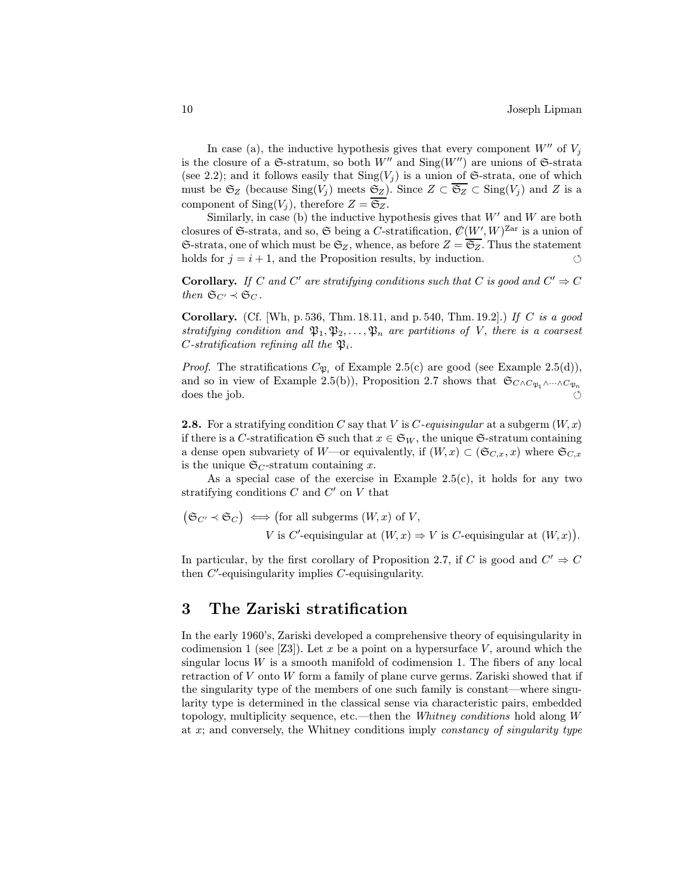In case (a), the inductive hypothesis gives that every component  $W''$  of  $V_i$ is the closure of a  $\mathfrak{S}\text{-}stratum$ , so both  $W''$  and  $\text{Sing}(W'')$  are unions of  $\mathfrak{S}\text{-}strata$ (see 2.2); and it follows easily that  $\text{Sing}(V_i)$  is a union of G-strata, one of which must be  $\mathfrak{S}_Z$  (because  $\text{Sing}(V_j)$  meets  $\mathfrak{S}_Z$ ). Since  $Z \subset \overline{\mathfrak{S}_Z} \subset \text{Sing}(V_j)$  and Z is a component of Sing(V<sub>i</sub>), therefore  $Z = \overline{\mathfrak{S}_Z}$ .

Similarly, in case (b) the inductive hypothesis gives that  $W'$  and W are both closures of G-strata, and so, G being a C-stratification,  $\mathcal{C}(W', W)^{\mathrm{Zar}}$  is a union of  $\mathfrak{S}\text{-strata}$ , one of which must be  $\mathfrak{S}_Z$ , whence, as before  $Z = \overline{\mathfrak{S}_Z}$ . Thus the statement holds for  $j = i + 1$ , and the Proposition results, by induction.

**Corollary.** If C and C' are stratifying conditions such that C is good and  $C' \Rightarrow C$ then  $\mathfrak{S}_{C'} \prec \mathfrak{S}_C$ .

**Corollary.** (Cf. Wh, p. 536, Thm. 18.11, and p. 540, Thm. 19.2].) If C is a good stratifying condition and  $\mathfrak{P}_1, \mathfrak{P}_2, \ldots, \mathfrak{P}_n$  are partitions of V, there is a coarsest C-stratification refining all the  $\mathfrak{P}_i$ .

*Proof.* The stratifications  $C_{\mathfrak{P}_i}$  of Example 2.5(c) are good (see Example 2.5(d)), and so in view of Example 2.5(b)), Proposition 2.7 shows that  $\mathfrak{S}_{C \wedge C_{\mathfrak{P}_1} \wedge \cdots \wedge C_{\mathfrak{P}_n}}$ does the job. 

**2.8.** For a stratifying condition C say that V is C-equisingular at a subgerm  $(W, x)$ if there is a C-stratification G such that  $x \in \mathfrak{S}_W$ , the unique G-stratum containing a dense open subvariety of W—or equivalently, if  $(W, x) \subset (\mathfrak{S}_{C,x}, x)$  where  $\mathfrak{S}_{C,x}$ is the unique  $\mathfrak{S}_C$ -stratum containing x.

As a special case of the exercise in Example  $2.5(c)$ , it holds for any two stratifying conditions  $C$  and  $C'$  on  $V$  that

$$
(\mathfrak{S}_{C'} \prec \mathfrak{S}_C) \iff \text{(for all subgerms } (W, x) \text{ of } V,
$$
  
  $V \text{ is } C'\text{-equisingular at } (W, x) \Rightarrow V \text{ is } C\text{-equisingular at } (W, x)).$ 

In particular, by the first corollary of Proposition 2.7, if C is good and  $C' \Rightarrow C$ then  $C'$ -equisingularity implies  $C$ -equisingularity.

#### 3 The Zariski stratification

In the early 1960's, Zariski developed a comprehensive theory of equisingularity in codimension 1 (see [Z3]). Let x be a point on a hypersurface V, around which the singular locus W is a smooth manifold of codimension 1. The fibers of any local retraction of V onto W form a family of plane curve germs. Zariski showed that if the singularity type of the members of one such family is constant—where singularity type is determined in the classical sense via characteristic pairs, embedded topology, multiplicity sequence, etc.—then the Whitney conditions hold along W at x; and conversely, the Whitney conditions imply constancy of singularity type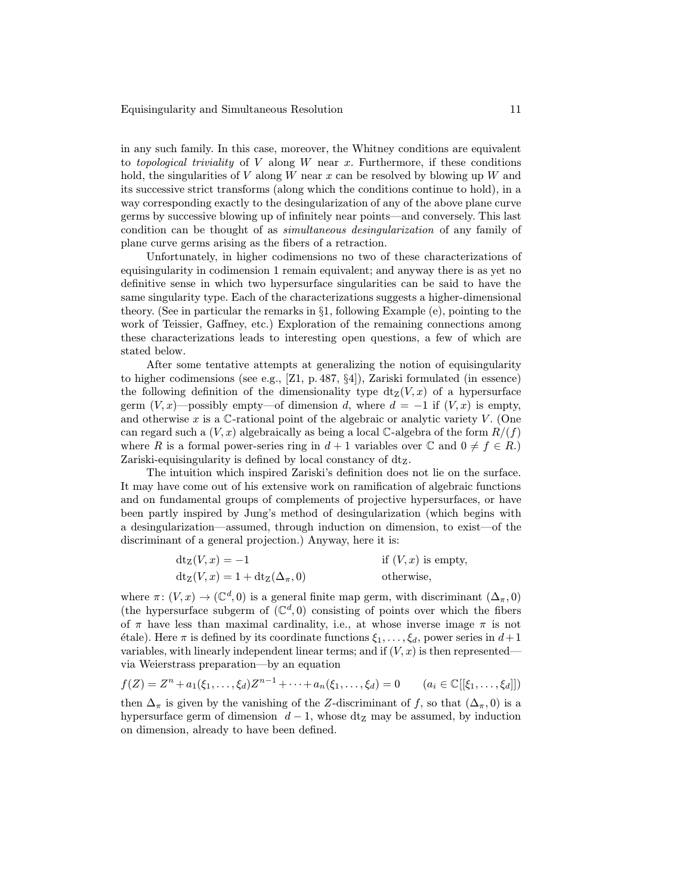in any such family. In this case, moreover, the Whitney conditions are equivalent to topological triviality of  $V$  along  $W$  near  $x$ . Furthermore, if these conditions hold, the singularities of V along W near x can be resolved by blowing up W and its successive strict transforms (along which the conditions continue to hold), in a way corresponding exactly to the desingularization of any of the above plane curve germs by successive blowing up of infinitely near points—and conversely. This last condition can be thought of as simultaneous desingularization of any family of plane curve germs arising as the fibers of a retraction.

Unfortunately, in higher codimensions no two of these characterizations of equisingularity in codimension 1 remain equivalent; and anyway there is as yet no definitive sense in which two hypersurface singularities can be said to have the same singularity type. Each of the characterizations suggests a higher-dimensional theory. (See in particular the remarks in §1, following Example (e), pointing to the work of Teissier, Gaffney, etc.) Exploration of the remaining connections among these characterizations leads to interesting open questions, a few of which are stated below.

After some tentative attempts at generalizing the notion of equisingularity to higher codimensions (see e.g., [Z1, p. 487, §4]), Zariski formulated (in essence) the following definition of the dimensionality type  $dt_Z(V,x)$  of a hypersurface germ  $(V, x)$ —possibly empty—of dimension d, where  $d = -1$  if  $(V, x)$  is empty, and otherwise x is a  $\mathbb{C}$ -rational point of the algebraic or analytic variety V. (One can regard such a  $(V, x)$  algebraically as being a local C-algebra of the form  $R/(f)$ where R is a formal power-series ring in  $d+1$  variables over  $\mathbb C$  and  $0 \neq f \in R$ .) Zariski-equisingularity is defined by local constancy of  $dt_Z$ .

The intuition which inspired Zariski's definition does not lie on the surface. It may have come out of his extensive work on ramification of algebraic functions and on fundamental groups of complements of projective hypersurfaces, or have been partly inspired by Jung's method of desingularization (which begins with a desingularization—assumed, through induction on dimension, to exist—of the discriminant of a general projection.) Anyway, here it is:

$$
dt_Z(V, x) = -1
$$
 if  $(V, x)$  is empty,  

$$
dt_Z(V, x) = 1 + dt_Z(\Delta_{\pi}, 0)
$$
 otherwise,

where  $\pi: (V, x) \to (\mathbb{C}^d, 0)$  is a general finite map germ, with discriminant  $(\Delta_{\pi}, 0)$ (the hypersurface subgerm of  $(\mathbb{C}^d,0)$  consisting of points over which the fibers of  $\pi$  have less than maximal cardinality, i.e., at whose inverse image  $\pi$  is not  $\alpha$  (etale). Here  $\pi$  is defined by its coordinate functions  $\xi_1,\ldots,\xi_d$ , power series in  $d+1$ variables, with linearly independent linear terms; and if  $(V, x)$  is then represented via Weierstrass preparation—by an equation

$$
f(Z) = Zn + a1(\xi1,..., \xid)Zn-1 + ... + an(\xi1,..., \xid) = 0 \qquad (ai \in \mathbb{C}[[\xi1,..., \xid]])
$$

then  $\Delta_{\pi}$  is given by the vanishing of the Z-discriminant of f, so that  $(\Delta_{\pi}, 0)$  is a hypersurface germ of dimension  $d-1$ , whose dt<sub>Z</sub> may be assumed, by induction on dimension, already to have been defined.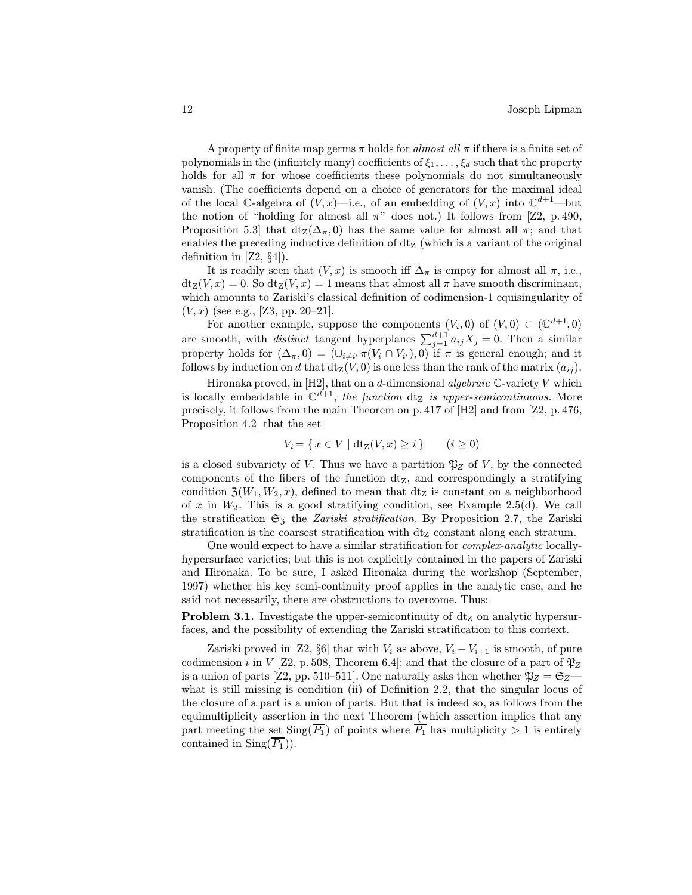A property of finite map germs  $\pi$  holds for almost all  $\pi$  if there is a finite set of polynomials in the (infinitely many) coefficients of  $\xi_1,\ldots,\xi_d$  such that the property holds for all  $\pi$  for whose coefficients these polynomials do not simultaneously vanish. (The coefficients depend on a choice of generators for the maximal ideal of the local C-algebra of  $(V, x)$ —i.e., of an embedding of  $(V, x)$  into  $\mathbb{C}^{d+1}$ —but the notion of "holding for almost all  $\pi$ " does not.) It follows from [Z2, p. 490, Proposition 5.3] that  $dt_Z(\Delta_{\pi}, 0)$  has the same value for almost all  $\pi$ ; and that enables the preceding inductive definition of  $dt<sub>Z</sub>$  (which is a variant of the original definition in  $[Z2, \S4]$ ).

It is readily seen that  $(V, x)$  is smooth iff  $\Delta_{\pi}$  is empty for almost all  $\pi$ , i.e.,  $dt_Z(V,x) = 0$ . So  $dt_Z(V,x) = 1$  means that almost all  $\pi$  have smooth discriminant, which amounts to Zariski's classical definition of codimension-1 equisingularity of  $(V, x)$  (see e.g., [Z3, pp. 20–21].

For another example, suppose the components  $(V_i, 0)$  of  $(V, 0) \subset (\mathbb{C}^{d+1}, 0)$ are smooth, with *distinct* tangent hyperplanes  $\sum_{j=1}^{d+1} a_{ij}X_j = 0$ . Then a similar property holds for  $(\Delta_{\pi},0) = (\cup_{i\neq i'} \pi(V_i \cap V_{i'}), 0)$  if  $\pi$  is general enough; and it follows by induction on d that  $dt_Z(V, 0)$  is one less than the rank of the matrix  $(a_{ij})$ .

Hironaka proved, in  $[H2]$ , that on a d-dimensional algebraic  $\mathbb C$ -variety V which is locally embeddable in  $\mathbb{C}^{d+1}$ , the function dt<sub>Z</sub> is upper-semicontinuous. More precisely, it follows from the main Theorem on p. 417 of [H2] and from [Z2, p. 476, Proposition 4.2] that the set

$$
V_i = \{ x \in V \mid dt_Z(V, x) \ge i \}
$$
  $(i \ge 0)$ 

is a closed subvariety of V. Thus we have a partition  $\mathfrak{P}_Z$  of V, by the connected components of the fibers of the function  $dt_Z$ , and correspondingly a stratifying condition  $\mathfrak{Z}(W_1, W_2, x)$ , defined to mean that dt<sub>Z</sub> is constant on a neighborhood of x in  $W_2$ . This is a good stratifying condition, see Example 2.5(d). We call the stratification  $\mathfrak{S}_3$  the *Zariski stratification*. By Proposition 2.7, the Zariski stratification is the coarsest stratification with  $dt_Z$  constant along each stratum.

One would expect to have a similar stratification for complex-analytic locallyhypersurface varieties; but this is not explicitly contained in the papers of Zariski and Hironaka. To be sure, I asked Hironaka during the workshop (September, 1997) whether his key semi-continuity proof applies in the analytic case, and he said not necessarily, there are obstructions to overcome. Thus:

**Problem 3.1.** Investigate the upper-semicontinuity of  $dt<sub>Z</sub>$  on analytic hypersurfaces, and the possibility of extending the Zariski stratification to this context.

Zariski proved in [Z2, §6] that with  $V_i$  as above,  $V_i - V_{i+1}$  is smooth, of pure codimension i in V [Z2, p. 508, Theorem 6.4]; and that the closure of a part of  $\mathfrak{P}_Z$ is a union of parts [Z2, pp. 510–511]. One naturally asks then whether  $\mathfrak{P}_Z = \mathfrak{S}_Z$  what is still missing is condition (ii) of Definition 2.2, that the singular locus of the closure of a part is a union of parts. But that is indeed so, as follows from the equimultiplicity assertion in the next Theorem (which assertion implies that any part meeting the set  $\text{Sing}(\overline{P_1})$  of points where  $\overline{P_1}$  has multiplicity  $> 1$  is entirely contained in  $\text{Sing}(P_1)$ ).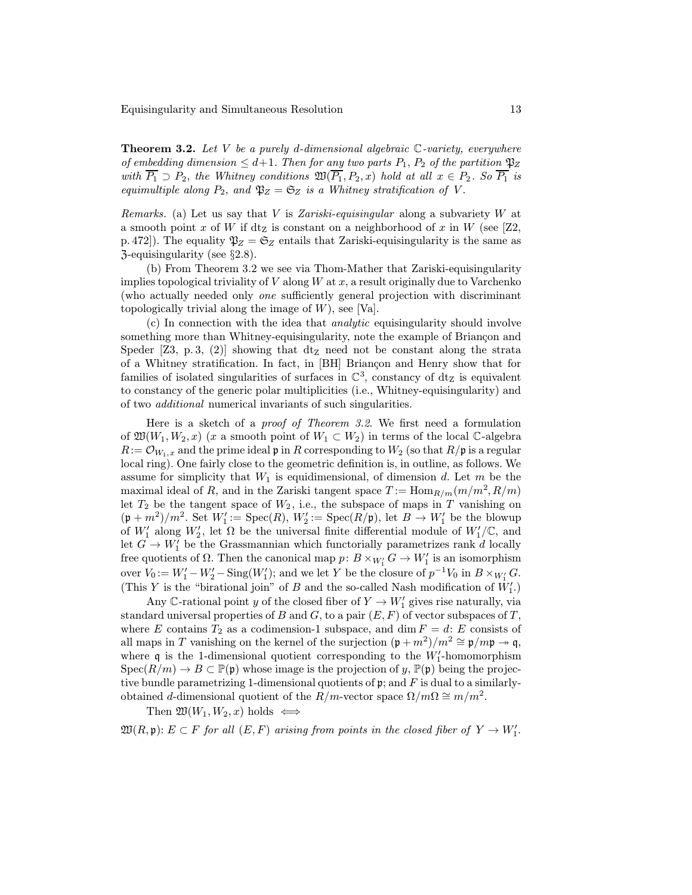Equisingularity and Simultaneous Resolution 13

**Theorem 3.2.** Let V be a purely d-dimensional algebraic  $\mathbb{C}$ -variety, everywhere of embedding dimension  $\leq d+1$ . Then for any two parts  $P_1$ ,  $P_2$  of the partition  $\mathfrak{P}_Z$ with  $\overline{P_1} \supset P_2$ , the Whitney conditions  $\mathfrak{W}(\overline{P_1}, P_2, x)$  hold at all  $x \in P_2$ . So  $\overline{P_1}$  is equimultiple along  $P_2$ , and  $\mathfrak{P}_Z = \mathfrak{S}_Z$  is a Whitney stratification of V.

*Remarks.* (a) Let us say that V is Zariski-equisingular along a subvariety W at a smooth point x of W if  $dz$  is constant on a neighborhood of x in W (see [Z2, p. 472). The equality  $\mathfrak{P}_Z = \mathfrak{S}_Z$  entails that Zariski-equisingularity is the same as Z-equisingularity (see §2.8).

(b) From Theorem 3.2 we see via Thom-Mather that Zariski-equisingularity implies topological triviality of V along  $W$  at  $x$ , a result originally due to Varchenko (who actually needed only one sufficiently general projection with discriminant topologically trivial along the image of  $W$ ), see [Va].

(c) In connection with the idea that analytic equisingularity should involve something more than Whitney-equisingularity, note the example of Briançon and Speder [Z3, p. 3, (2)] showing that dt<sub>z</sub> need not be constant along the strata of a Whitney stratification. In fact, in [BH] Briançon and Henry show that for families of isolated singularities of surfaces in  $\mathbb{C}^3$ , constancy of dt<sub>Z</sub> is equivalent to constancy of the generic polar multiplicities (i.e., Whitney-equisingularity) and of two additional numerical invariants of such singularities.

Here is a sketch of a proof of Theorem 3.2. We first need a formulation of  $\mathfrak{W}(W_1, W_2, x)$  (x a smooth point of  $W_1 \subset W_2$ ) in terms of the local C-algebra  $R:={\mathcal{O}}_{W_1,x}$  and the prime ideal p in R corresponding to  $W_2$  (so that  $R/\mathfrak{p}$  is a regular local ring). One fairly close to the geometric definition is, in outline, as follows. We assume for simplicity that  $W_1$  is equidimensional, of dimension d. Let m be the maximal ideal of R, and in the Zariski tangent space  $T := \text{Hom}_{R/m}(m/m^2, R/m)$ let  $T_2$  be the tangent space of  $W_2$ , i.e., the subspace of maps in T vanishing on  $(\mathfrak{p} + m^2)/m^2$ . Set  $W'_1 := \text{Spec}(R)$ ,  $W'_2 := \text{Spec}(R/\mathfrak{p})$ , let  $B \to W'_1$  be the blowup of  $W'_1$  along  $W'_2$ , let  $\Omega$  be the universal finite differential module of  $W'_1/\mathbb{C}$ , and let  $G \to W'_1$  be the Grassmannian which functorially parametrizes rank d locally free quotients of  $\Omega$ . Then the canonical map  $p: B \times_{W'_1} G \to W'_1$  is an isomorphism over  $V_0 := W_1' - W_2' - \text{Sing}(W_1')$ ; and we let Y be the closure of  $p^{-1}V_0$  in  $B \times_{W_1'} G$ . (This Y is the "birational join" of B and the so-called Nash modification of  $W'_1$ .)

Any  $\mathbb C$ -rational point y of the closed fiber of  $Y \to W'_1$  gives rise naturally, via standard universal properties of B and G, to a pair  $(E, F)$  of vector subspaces of T, where E contains  $T_2$  as a codimension-1 subspace, and dim  $F = d$ : E consists of all maps in T vanishing on the kernel of the surjection  $(\mathfrak{p} + m^2)/m^2 \cong \mathfrak{p}/m\mathfrak{p} \to \mathfrak{q}$ , where  $\mathfrak q$  is the 1-dimensional quotient corresponding to the  $W_1'$ -homomorphism  $Spec(R/m) \to B \subset \mathbb{P}(\mathfrak{p})$  whose image is the projection of y,  $\mathbb{P}(\mathfrak{p})$  being the projective bundle parametrizing 1-dimensional quotients of  $\mathfrak{p}$ ; and F is dual to a similarlyobtained d-dimensional quotient of the  $R/m$ -vector space  $\Omega/m\Omega \cong m/m^2$ .

Then  $\mathfrak{W}(W_1, W_2, x)$  holds  $\iff$ 

 $\mathfrak{W}(R,\mathfrak{p})\colon E\subset F$  for all  $(E,F)$  arising from points in the closed fiber of  $Y\to W_1'.$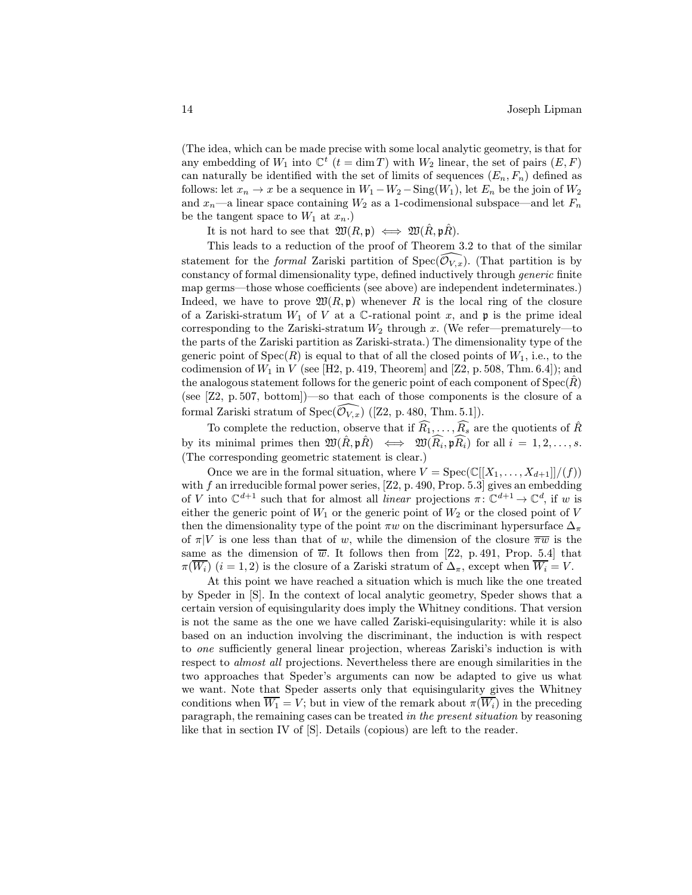(The idea, which can be made precise with some local analytic geometry, is that for any embedding of  $W_1$  into  $\mathbb{C}^t$  ( $t = \dim T$ ) with  $W_2$  linear, the set of pairs  $(E, F)$ can naturally be identified with the set of limits of sequences  $(E_n, F_n)$  defined as follows: let  $x_n \to x$  be a sequence in  $W_1 - W_2 - \text{Sing}(W_1)$ , let  $E_n$  be the join of  $W_2$ and  $x_n$ —a linear space containing  $W_2$  as a 1-codimensional subspace—and let  $F_n$ be the tangent space to  $W_1$  at  $x_n$ .)

It is not hard to see that  $\mathfrak{W}(R, \mathfrak{p}) \iff \mathfrak{W}(\hat{R}, \mathfrak{p}\hat{R})$ .

This leads to a reduction of the proof of Theorem 3.2 to that of the similar statement for the *formal* Zariski partition of  $Spec(\widehat{O}_{V,x})$ . (That partition is by constancy of formal dimensionality type, defined inductively through generic finite map germs—those whose coefficients (see above) are independent indeterminates.) Indeed, we have to prove  $\mathfrak{W}(R, \mathfrak{p})$  whenever R is the local ring of the closure of a Zariski-stratum  $W_1$  of V at a C-rational point x, and p is the prime ideal corresponding to the Zariski-stratum  $W_2$  through x. (We refer—prematurely—to the parts of the Zariski partition as Zariski-strata.) The dimensionality type of the generic point of  $Spec(R)$  is equal to that of all the closed points of  $W_1$ , i.e., to the codimension of  $W_1$  in V (see [H2, p. 419, Theorem] and [Z2, p. 508, Thm. 6.4]); and the analogous statement follows for the generic point of each component of  $Spec(R)$ (see [Z2, p. 507, bottom])—so that each of those components is the closure of a formal Zariski stratum of Spec $(\widehat{\mathcal{O}}_{V,x})$  ([Z2, p. 480, Thm. 5.1]).

To complete the reduction, observe that if  $\widehat{R_1}, \ldots, \widehat{R_s}$  are the quotients of  $\widehat{R}$ by its minimal primes then  $\mathfrak{W}(\hat{R}, \mathfrak{p}\hat{R}) \iff \mathfrak{W}(\widehat{R_i}, \mathfrak{p}\widehat{R_i})$  for all  $i = 1, 2, ..., s$ . (The corresponding geometric statement is clear.)

Once we are in the formal situation, where  $V = \text{Spec}(\mathbb{C}[[X_1,\ldots,X_{d+1}]]/(f))$ with  $f$  an irreducible formal power series, [Z2, p. 490, Prop. 5.3] gives an embedding of V into  $\mathbb{C}^{d+1}$  such that for almost all *linear* projections  $\pi: \mathbb{C}^{d+1} \to \mathbb{C}^d$ , if w is either the generic point of  $W_1$  or the generic point of  $W_2$  or the closed point of V then the dimensionality type of the point  $\pi w$  on the discriminant hypersurface  $\Delta_{\pi}$ of  $\pi|V$  is one less than that of w, while the dimension of the closure  $\overline{\pi w}$  is the same as the dimension of  $\overline{w}$ . It follows then from [Z2, p. 491, Prop. 5.4] that  $\pi(\overline{W_i})$   $(i = 1, 2)$  is the closure of a Zariski stratum of  $\Delta_{\pi}$ , except when  $\overline{W_i} = V$ .

At this point we have reached a situation which is much like the one treated by Speder in [S]. In the context of local analytic geometry, Speder shows that a certain version of equisingularity does imply the Whitney conditions. That version is not the same as the one we have called Zariski-equisingularity: while it is also based on an induction involving the discriminant, the induction is with respect to one sufficiently general linear projection, whereas Zariski's induction is with respect to almost all projections. Nevertheless there are enough similarities in the two approaches that Speder's arguments can now be adapted to give us what we want. Note that Speder asserts only that equisingularity gives the Whitney conditions when  $\overline{W_1} = V$ ; but in view of the remark about  $\pi(\overline{W_i})$  in the preceding paragraph, the remaining cases can be treated in the present situation by reasoning like that in section IV of [S]. Details (copious) are left to the reader.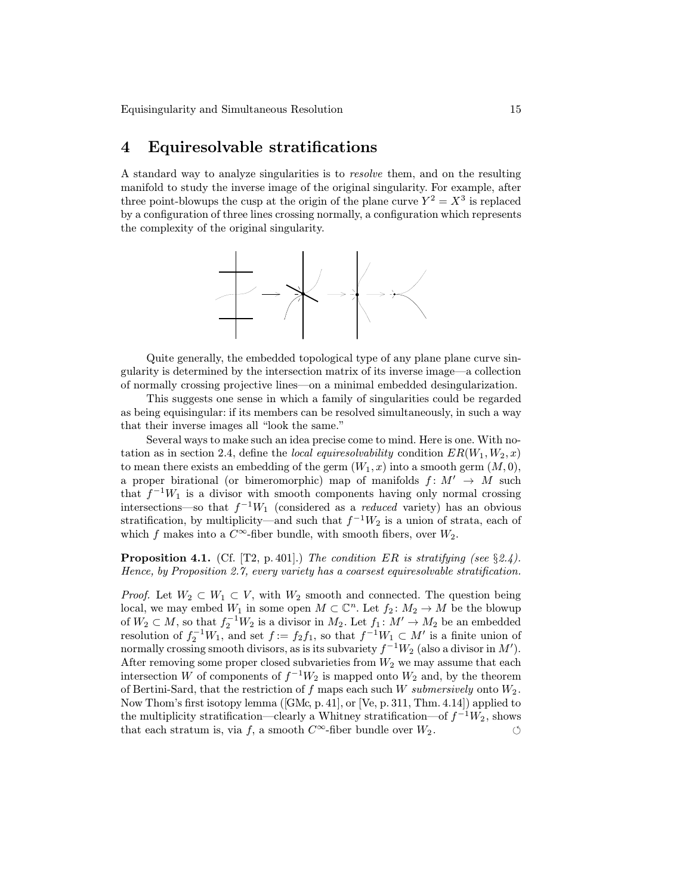Equisingularity and Simultaneous Resolution 15

#### 4 Equiresolvable stratifications

A standard way to analyze singularities is to resolve them, and on the resulting manifold to study the inverse image of the original singularity. For example, after three point-blowups the cusp at the origin of the plane curve  $Y^2 = X^3$  is replaced by a configuration of three lines crossing normally, a configuration which represents the complexity of the original singularity.



Quite generally, the embedded topological type of any plane plane curve singularity is determined by the intersection matrix of its inverse image—a collection of normally crossing projective lines—on a minimal embedded desingularization.

This suggests one sense in which a family of singularities could be regarded as being equisingular: if its members can be resolved simultaneously, in such a way that their inverse images all "look the same."

Several ways to make such an idea precise come to mind. Here is one. With notation as in section 2.4, define the *local equiresolvability* condition  $ER(W_1, W_2, x)$ to mean there exists an embedding of the germ  $(W_1, x)$  into a smooth germ  $(M, 0)$ , a proper birational (or bimeromorphic) map of manifolds  $f: M' \rightarrow M$  such that  $f^{-1}W_1$  is a divisor with smooth components having only normal crossing intersections—so that  $f^{-1}W_1$  (considered as a *reduced* variety) has an obvious stratification, by multiplicity—and such that  $f^{-1}W_2$  is a union of strata, each of which f makes into a  $C^{\infty}$ -fiber bundle, with smooth fibers, over  $W_2$ .

**Proposition 4.1.** (Cf. [T2, p. 401].) The condition ER is stratifying (see §2.4). Hence, by Proposition 2.7, every variety has a coarsest equiresolvable stratification.

*Proof.* Let  $W_2 \subset W_1 \subset V$ , with  $W_2$  smooth and connected. The question being local, we may embed  $W_1$  in some open  $M \subset \mathbb{C}^n$ . Let  $f_2 \colon M_2 \to M$  be the blowup of  $W_2 \subset M$ , so that  $f_2^{-1}W_2$  is a divisor in  $M_2$ . Let  $f_1: M' \to M_2$  be an embedded resolution of  $f_2^{-1}W_1$ , and set  $f := f_2f_1$ , so that  $f^{-1}W_1 \subset M'$  is a finite union of normally crossing smooth divisors, as is its subvariety  $f^{-1}W_2$  (also a divisor in  $M'$ ). After removing some proper closed subvarieties from  $W_2$  we may assume that each intersection W of components of  $f^{-1}W_2$  is mapped onto  $W_2$  and, by the theorem of Bertini-Sard, that the restriction of  $f$  maps each such  $W$  submersively onto  $W_2$ . Now Thom's first isotopy lemma ([GMc, p. 41], or [Ve, p. 311, Thm. 4.14]) applied to the multiplicity stratification—clearly a Whitney stratification—of  $f^{-1}W_2$ , shows that each stratum is, via f, a smooth  $C^{\infty}$ -fiber bundle over  $W_2$ .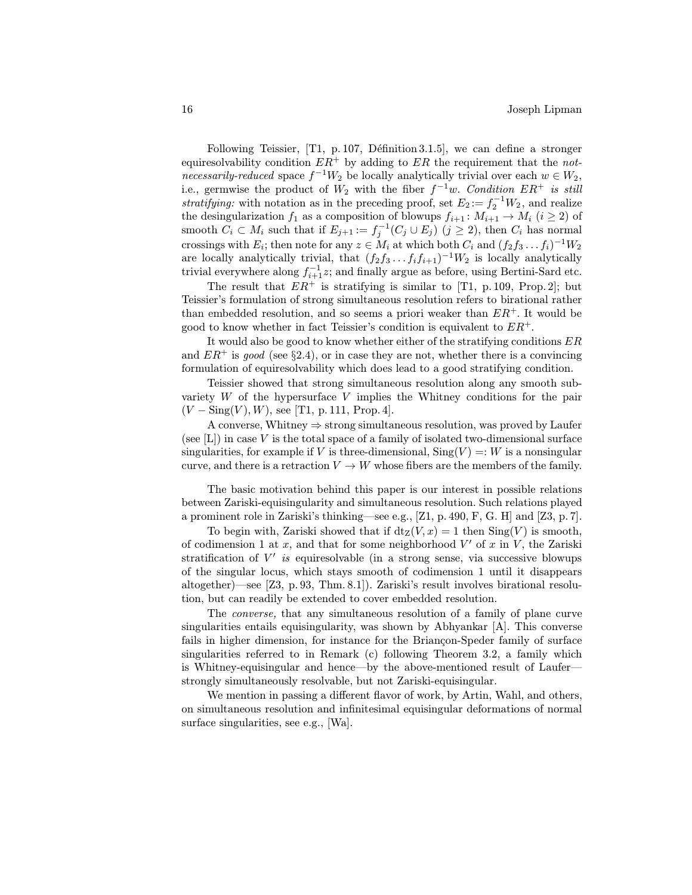Following Teissier,  $[T1, p. 107, Définition 3.1.5]$ , we can define a stronger equiresolvability condition  $ER^+$  by adding to  $ER$  the requirement that the notnecessarily-reduced space  $f^{-1}W_2$  be locally analytically trivial over each  $w \in W_2$ , i.e., germwise the product of  $W_2$  with the fiber  $f^{-1}w$ . Condition  $ER^+$  is still stratifying: with notation as in the preceding proof, set  $E_2 := f_2^{-1}W_2$ , and realize the desingularization  $f_1$  as a composition of blowups  $f_{i+1}: M_{i+1} \to M_i$   $(i \geq 2)$  of smooth  $C_i \subset M_i$  such that if  $E_{j+1} := f_j^{-1}(C_j \cup E_j)$   $(j \geq 2)$ , then  $C_i$  has normal crossings with  $E_i$ ; then note for any  $z \in M_i$  at which both  $C_i$  and  $(f_2f_3 \tldots f_i)^{-1}W_2$ are locally analytically trivial, that  $(f_2f_3 \tldots f_if_{i+1})^{-1}W_2$  is locally analytically trivial everywhere along  $f_{i+1}^{-1}z$ ; and finally argue as before, using Bertini-Sard etc.

The result that  $ER^+$  is stratifying is similar to [T1, p. 109, Prop. 2]; but Teissier's formulation of strong simultaneous resolution refers to birational rather than embedded resolution, and so seems a priori weaker than  $ER^+$ . It would be good to know whether in fact Teissier's condition is equivalent to  $ER^+$ .

It would also be good to know whether either of the stratifying conditions  $ER$ and  $ER^+$  is good (see §2.4), or in case they are not, whether there is a convincing formulation of equiresolvability which does lead to a good stratifying condition.

Teissier showed that strong simultaneous resolution along any smooth subvariety  $W$  of the hypersurface  $V$  implies the Whitney conditions for the pair  $(V - \text{Sing}(V), W)$ , see [T1, p. 111, Prop. 4].

A converse, Whitney  $\Rightarrow$  strong simultaneous resolution, was proved by Laufer (see  $[L]$ ) in case V is the total space of a family of isolated two-dimensional surface singularities, for example if V is three-dimensional,  $\text{Sing}(V) =: W$  is a nonsingular curve, and there is a retraction  $V \to W$  whose fibers are the members of the family.

The basic motivation behind this paper is our interest in possible relations between Zariski-equisingularity and simultaneous resolution. Such relations played a prominent role in Zariski's thinking—see e.g., [Z1, p. 490, F, G. H] and [Z3, p. 7].

To begin with, Zariski showed that if  $dt_Z(V,x) = 1$  then  $Sing(V)$  is smooth, of codimension 1 at  $x$ , and that for some neighborhood  $V'$  of  $x$  in  $V$ , the Zariski stratification of  $V'$  is equiresolvable (in a strong sense, via successive blowups of the singular locus, which stays smooth of codimension 1 until it disappears altogether)—see [Z3, p. 93, Thm. 8.1]). Zariski's result involves birational resolution, but can readily be extended to cover embedded resolution.

The converse, that any simultaneous resolution of a family of plane curve singularities entails equisingularity, was shown by Abhyankar [A]. This converse fails in higher dimension, for instance for the Briançon-Speder family of surface singularities referred to in Remark (c) following Theorem 3.2, a family which is Whitney-equisingular and hence—by the above-mentioned result of Laufer strongly simultaneously resolvable, but not Zariski-equisingular.

We mention in passing a different flavor of work, by Artin, Wahl, and others, on simultaneous resolution and infinitesimal equisingular deformations of normal surface singularities, see e.g., [Wa].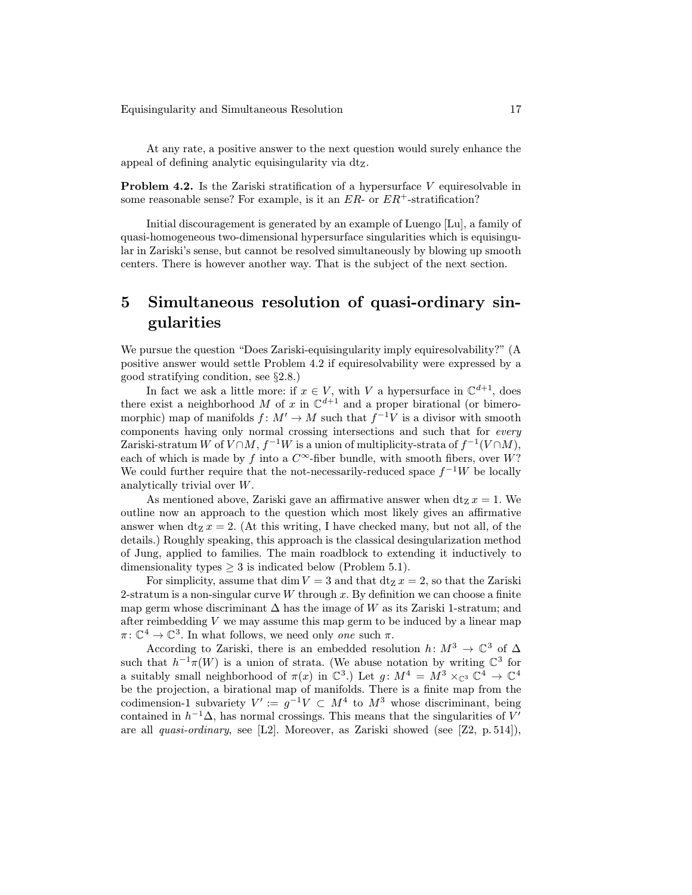Equisingularity and Simultaneous Resolution 17

At any rate, a positive answer to the next question would surely enhance the appeal of defining analytic equisingularity via dtZ.

Problem 4.2. Is the Zariski stratification of a hypersurface V equiresolvable in some reasonable sense? For example, is it an  $ER$ - or  $ER$ <sup>+</sup>-stratification?

Initial discouragement is generated by an example of Luengo [Lu], a family of quasi-homogeneous two-dimensional hypersurface singularities which is equisingular in Zariski's sense, but cannot be resolved simultaneously by blowing up smooth centers. There is however another way. That is the subject of the next section.

# 5 Simultaneous resolution of quasi-ordinary singularities

We pursue the question "Does Zariski-equisingularity imply equiresolvability?" (A positive answer would settle Problem 4.2 if equiresolvability were expressed by a good stratifying condition, see §2.8.)

In fact we ask a little more: if  $x \in V$ , with V a hypersurface in  $\mathbb{C}^{d+1}$ , does there exist a neighborhood M of x in  $\mathbb{C}^{d+1}$  and a proper birational (or bimeromorphic) map of manifolds  $f: M' \to M$  such that  $f^{-1}V$  is a divisor with smooth components having only normal crossing intersections and such that for every Zariski-stratum W of  $V \cap M$ ,  $f^{-1}W$  is a union of multiplicity-strata of  $f^{-1}(V \cap M)$ , each of which is made by f into a  $C^{\infty}$ -fiber bundle, with smooth fibers, over W? We could further require that the not-necessarily-reduced space  $f^{-1}W$  be locally analytically trivial over W.

As mentioned above, Zariski gave an affirmative answer when  $dt_Z x = 1$ . We outline now an approach to the question which most likely gives an affirmative answer when  $\mathrm{d}t_Z x = 2$ . (At this writing, I have checked many, but not all, of the details.) Roughly speaking, this approach is the classical desingularization method of Jung, applied to families. The main roadblock to extending it inductively to dimensionality types  $\geq 3$  is indicated below (Problem 5.1).

For simplicity, assume that dim  $V = 3$  and that dt<sub>z</sub>  $x = 2$ , so that the Zariski 2-stratum is a non-singular curve  $W$  through  $x$ . By definition we can choose a finite map germ whose discriminant  $\Delta$  has the image of W as its Zariski 1-stratum; and after reimbedding  $V$  we may assume this map germ to be induced by a linear map  $\pi: \mathbb{C}^4 \to \mathbb{C}^3$ . In what follows, we need only one such  $\pi$ .

According to Zariski, there is an embedded resolution  $h: M^3 \to \mathbb{C}^3$  of  $\Delta$ such that  $h^{-1}\pi(W)$  is a union of strata. (We abuse notation by writing  $\mathbb{C}^3$  for a suitably small neighborhood of  $\pi(x)$  in  $\mathbb{C}^3$ .) Let  $g: M^4 = M^3 \times_{\mathbb{C}^3} \mathbb{C}^4 \to \mathbb{C}^4$ be the projection, a birational map of manifolds. There is a finite map from the codimension-1 subvariety  $V' := g^{-1}V \subset M^4$  to  $M^3$  whose discriminant, being contained in  $h^{-1}\Delta$ , has normal crossings. This means that the singularities of V' are all *quasi-ordinary*, see [L2]. Moreover, as Zariski showed (see [Z2, p. 514]),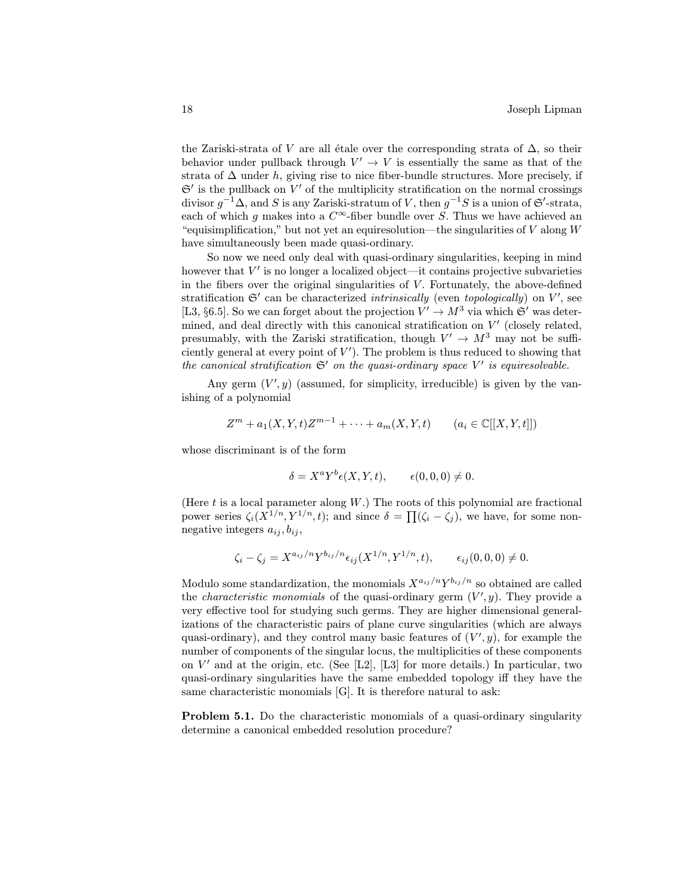the Zariski-strata of V are all étale over the corresponding strata of  $\Delta$ , so their behavior under pullback through  $V' \rightarrow V$  is essentially the same as that of the strata of  $\Delta$  under h, giving rise to nice fiber-bundle structures. More precisely, if  $\mathfrak{S}'$  is the pullback on V' of the multiplicity stratification on the normal crossings divisor  $g^{-1}\Delta$ , and S is any Zariski-stratum of V, then  $g^{-1}S$  is a union of G<sup>'</sup>-strata, each of which g makes into a  $C^{\infty}$ -fiber bundle over S. Thus we have achieved an "equisimplification," but not yet an equiresolution—the singularities of  $V$  along  $W$ have simultaneously been made quasi-ordinary.

So now we need only deal with quasi-ordinary singularities, keeping in mind however that  $V'$  is no longer a localized object—it contains projective subvarieties in the fibers over the original singularities of  $V$ . Fortunately, the above-defined stratification  $\mathfrak{S}'$  can be characterized *intrinsically* (even *topologically*) on  $V'$ , see [L3, §6.5]. So we can forget about the projection  $V' \to M^3$  via which  $\mathfrak{S}'$  was determined, and deal directly with this canonical stratification on  $V'$  (closely related, presumably, with the Zariski stratification, though  $V' \rightarrow M^3$  may not be sufficiently general at every point of  $V'$ ). The problem is thus reduced to showing that the canonical stratification  $\mathfrak{S}'$  on the quasi-ordinary space V' is equiresolvable.

Any germ  $(V', y)$  (assumed, for simplicity, irreducible) is given by the vanishing of a polynomial

$$
Z^{m} + a_{1}(X, Y, t)Z^{m-1} + \cdots + a_{m}(X, Y, t) \qquad (a_{i} \in \mathbb{C}[[X, Y, t]])
$$

whose discriminant is of the form

$$
\delta = X^a Y^b \epsilon(X, Y, t), \qquad \epsilon(0, 0, 0) \neq 0.
$$

(Here  $t$  is a local parameter along  $W$ .) The roots of this polynomial are fractional power series  $\zeta_i(X^{1/n}, Y^{1/n}, t)$ ; and since  $\delta = \prod(\zeta_i - \zeta_i)$ , we have, for some nonnegative integers  $a_{ij}, b_{ij}$ ,

$$
\zeta_i - \zeta_j = X^{a_{ij}/n} Y^{b_{ij}/n} \epsilon_{ij} (X^{1/n}, Y^{1/n}, t), \qquad \epsilon_{ij} (0, 0, 0) \neq 0.
$$

Modulo some standardization, the monomials  $X^{a_{ij}/n}Y^{b_{ij}/n}$  so obtained are called the *characteristic monomials* of the quasi-ordinary germ  $(V', y)$ . They provide a very effective tool for studying such germs. They are higher dimensional generalizations of the characteristic pairs of plane curve singularities (which are always quasi-ordinary), and they control many basic features of  $(V', y)$ , for example the number of components of the singular locus, the multiplicities of these components on  $V'$  and at the origin, etc. (See [L2], [L3] for more details.) In particular, two quasi-ordinary singularities have the same embedded topology iff they have the same characteristic monomials [G]. It is therefore natural to ask:

Problem 5.1. Do the characteristic monomials of a quasi-ordinary singularity determine a canonical embedded resolution procedure?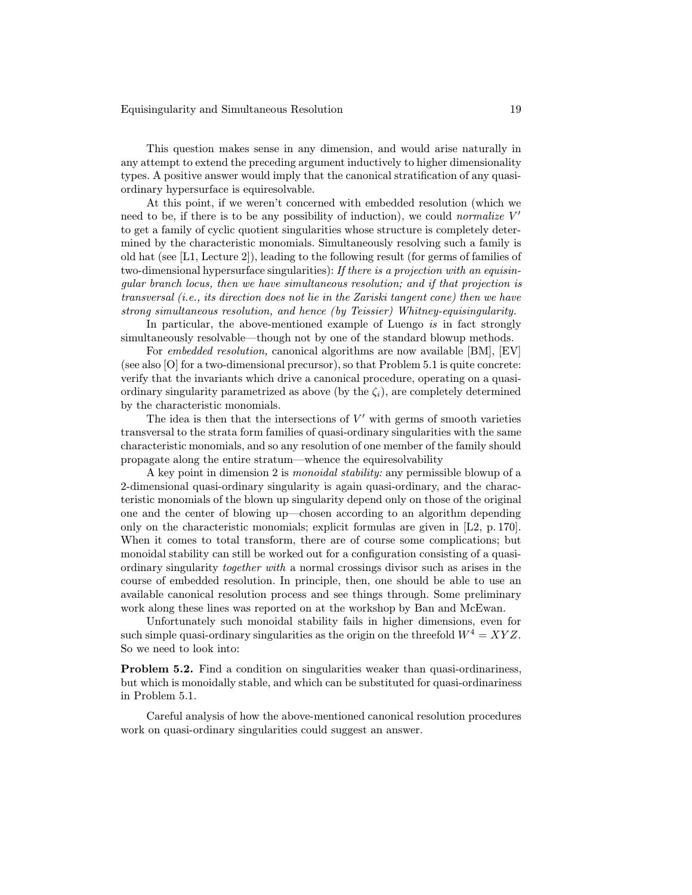This question makes sense in any dimension, and would arise naturally in any attempt to extend the preceding argument inductively to higher dimensionality types. A positive answer would imply that the canonical stratification of any quasiordinary hypersurface is equiresolvable.

At this point, if we weren't concerned with embedded resolution (which we need to be, if there is to be any possibility of induction), we could *normalize*  $V'$ to get a family of cyclic quotient singularities whose structure is completely determined by the characteristic monomials. Simultaneously resolving such a family is old hat (see [L1, Lecture 2]), leading to the following result (for germs of families of two-dimensional hypersurface singularities): If there is a projection with an equisingular branch locus, then we have simultaneous resolution; and if that projection is transversal (i.e., its direction does not lie in the Zariski tangent cone) then we have strong simultaneous resolution, and hence (by Teissier) Whitney-equisingularity.

In particular, the above-mentioned example of Luengo is in fact strongly simultaneously resolvable—though not by one of the standard blowup methods.

For embedded resolution, canonical algorithms are now available [BM], [EV] (see also [O] for a two-dimensional precursor), so that Problem 5.1 is quite concrete: verify that the invariants which drive a canonical procedure, operating on a quasiordinary singularity parametrized as above (by the  $\zeta_i$ ), are completely determined by the characteristic monomials.

The idea is then that the intersections of  $V'$  with germs of smooth varieties transversal to the strata form families of quasi-ordinary singularities with the same characteristic monomials, and so any resolution of one member of the family should propagate along the entire stratum—whence the equiresolvability

A key point in dimension 2 is monoidal stability: any permissible blowup of a 2-dimensional quasi-ordinary singularity is again quasi-ordinary, and the characteristic monomials of the blown up singularity depend only on those of the original one and the center of blowing up—chosen according to an algorithm depending only on the characteristic monomials; explicit formulas are given in [L2, p. 170]. When it comes to total transform, there are of course some complications; but monoidal stability can still be worked out for a configuration consisting of a quasiordinary singularity together with a normal crossings divisor such as arises in the course of embedded resolution. In principle, then, one should be able to use an available canonical resolution process and see things through. Some preliminary work along these lines was reported on at the workshop by Ban and McEwan.

Unfortunately such monoidal stability fails in higher dimensions, even for such simple quasi-ordinary singularities as the origin on the threefold  $W^4 = XYZ$ . So we need to look into:

Problem 5.2. Find a condition on singularities weaker than quasi-ordinariness, but which is monoidally stable, and which can be substituted for quasi-ordinariness in Problem 5.1.

Careful analysis of how the above-mentioned canonical resolution procedures work on quasi-ordinary singularities could suggest an answer.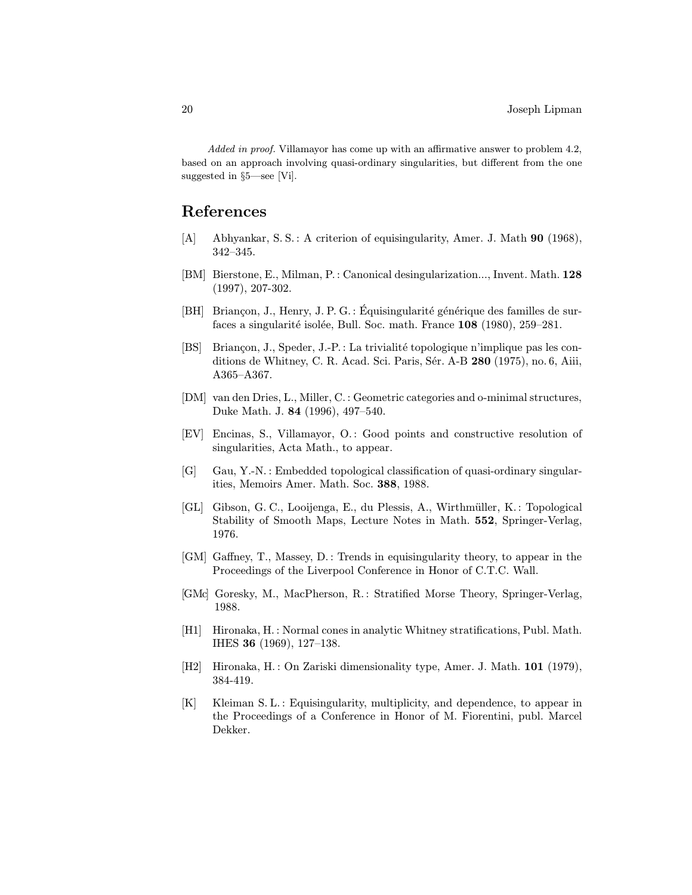Added in proof. Villamayor has come up with an affirmative answer to problem 4.2, based on an approach involving quasi-ordinary singularities, but different from the one suggested in §5—see [Vi].

### References

- [A] Abhyankar, S. S. : A criterion of equisingularity, Amer. J. Math 90 (1968), 342–345.
- [BM] Bierstone, E., Milman, P.: Canonical desingularization..., Invent. Math. 128 (1997), 207-302.
- [BH] Briançon, J., Henry, J. P. G. : Équisingularité générique des familles de surfaces a singularité isolée, Bull. Soc. math. France 108 (1980), 259–281.
- [BS] Briançon, J., Speder, J.-P.: La trivialité topologique n'implique pas les conditions de Whitney, C. R. Acad. Sci. Paris, Sér. A-B 280 (1975), no. 6, Aiii, A365–A367.
- [DM] van den Dries, L., Miller, C. : Geometric categories and o-minimal structures, Duke Math. J. 84 (1996), 497–540.
- [EV] Encinas, S., Villamayor, O.: Good points and constructive resolution of singularities, Acta Math., to appear.
- [G] Gau, Y.-N. : Embedded topological classification of quasi-ordinary singularities, Memoirs Amer. Math. Soc. 388, 1988.
- [GL] Gibson, G. C., Looijenga, E., du Plessis, A., Wirthm¨uller, K.: Topological Stability of Smooth Maps, Lecture Notes in Math. 552, Springer-Verlag, 1976.
- [GM] Gaffney, T., Massey, D. : Trends in equisingularity theory, to appear in the Proceedings of the Liverpool Conference in Honor of C.T.C. Wall.
- [GMc] Goresky, M., MacPherson, R. : Stratified Morse Theory, Springer-Verlag, 1988.
- [H1] Hironaka, H. : Normal cones in analytic Whitney stratifications, Publ. Math. IHES 36 (1969), 127–138.
- [H2] Hironaka, H. : On Zariski dimensionality type, Amer. J. Math. 101 (1979), 384-419.
- [K] Kleiman S. L. : Equisingularity, multiplicity, and dependence, to appear in the Proceedings of a Conference in Honor of M. Fiorentini, publ. Marcel Dekker.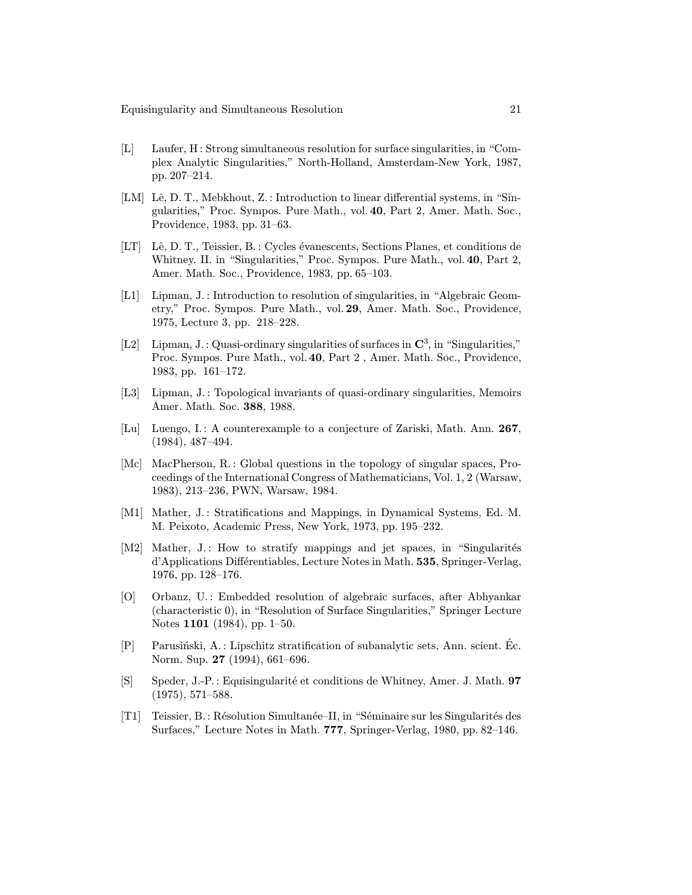- [L] Laufer, H: Strong simultaneous resolution for surface singularities, in "Complex Analytic Singularities," North-Holland, Amsterdam-New York, 1987, pp. 207–214.
- [LM] Lê, D. T., Mebkhout, Z. : Introduction to linear differential systems, in "Singularities," Proc. Sympos. Pure Math., vol. 40, Part 2, Amer. Math. Soc., Providence, 1983, pp. 31–63.
- [LT] Lê, D. T., Teissier, B. : Cycles évanescents, Sections Planes, et conditions de Whitney. II. in "Singularities," Proc. Sympos. Pure Math., vol. 40, Part 2, Amer. Math. Soc., Providence, 1983, pp. 65–103.
- [L1] Lipman, J. : Introduction to resolution of singularities, in "Algebraic Geometry," Proc. Sympos. Pure Math., vol. 29, Amer. Math. Soc., Providence, 1975, Lecture 3, pp. 218–228.
- [L2] Lipman,  $J.$ : Quasi-ordinary singularities of surfaces in  $\mathbb{C}^3$ , in "Singularities," Proc. Sympos. Pure Math., vol. 40, Part 2 , Amer. Math. Soc., Providence, 1983, pp. 161–172.
- [L3] Lipman, J. : Topological invariants of quasi-ordinary singularities, Memoirs Amer. Math. Soc. 388, 1988.
- [Lu] Luengo, I.: A counterexample to a conjecture of Zariski, Math. Ann. 267, (1984), 487–494.
- [Mc] MacPherson, R. : Global questions in the topology of singular spaces, Proceedings of the International Congress of Mathematicians, Vol. 1, 2 (Warsaw, 1983), 213–236, PWN, Warsaw, 1984.
- [M1] Mather, J.: Stratifications and Mappings, in Dynamical Systems, Ed. M. M. Peixoto, Academic Press, New York, 1973, pp. 195–232.
- [M2] Mather,  $J$ .: How to stratify mappings and jet spaces, in "Singularités" d'Applications Différentiables, Lecture Notes in Math. 535, Springer-Verlag, 1976, pp. 128–176.
- [O] Orbanz, U. : Embedded resolution of algebraic surfaces, after Abhyankar (characteristic 0), in "Resolution of Surface Singularities," Springer Lecture Notes 1101 (1984), pp. 1–50.
- $[P]$  Parusiński, A.: Lipschitz stratification of subanalytic sets, Ann. scient. Ec. Norm. Sup. 27 (1994), 661–696.
- [S] Speder, J.-P.: Equisingularit´e et conditions de Whitney, Amer. J. Math. 97 (1975), 571–588.
- [T1] Teissier, B.: R´esolution Simultan´ee–II, in "S´eminaire sur les Singularit´es des Surfaces," Lecture Notes in Math. 777, Springer-Verlag, 1980, pp. 82–146.